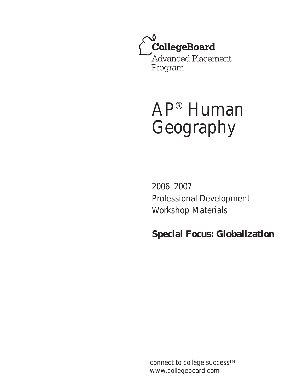

# AP® Human Geography

2006–2007 Professional Development Workshop Materials

**Special Focus: Globalization**

connect to college success<sup>TM</sup> www.collegeboard.com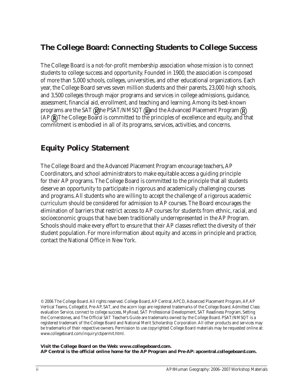# **The College Board: Connecting Students to College Success**

The College Board is a not-for-profit membership association whose mission is to connect students to college success and opportunity. Founded in 1900, the association is composed of more than 5,000 schools, colleges, universities, and other educational organizations. Each year, the College Board serves seven million students and their parents, 23,000 high schools, and 3,500 colleges through major programs and services in college admissions, guidance, assessment, financial aid, enrollment, and teaching and learning. Among its best-known programs are the SAT® the PSAT/NMSQT® and the Advanced Placement Program (AP®). The College Board is committed to the principles of excellence and equity, and that commitment is embodied in all of its programs, services, activities, and concerns.

# **Equity Policy Statement**

The College Board and the Advanced Placement Program encourage teachers, AP Coordinators, and school administrators to make equitable access a guiding principle for their AP programs. The College Board is committed to the principle that all students deserve an opportunity to participate in rigorous and academically challenging courses and programs. All students who are willing to accept the challenge of a rigorous academic curriculum should be considered for admission to AP courses. The Board encourages the elimination of barriers that restrict access to AP courses for students from ethnic, racial, and socioeconomic groups that have been traditionally underrepresented in the AP Program. Schools should make every effort to ensure that their AP classes reflect the diversity of their student population. For more information about equity and access in principle and practice, contact the National Office in New York.

© 2006 The College Board. All rights reserved. College Board, AP Central, APCD, Advanced Placement Program, AP, AP Vertical Teams, CollegeEd, Pre-AP, SAT, and the acorn logo are registered trademarks of the College Board. Admitted Class evaluation Service, connect to college success, MyRoad, SAT Professional Development, SAT Readiness Program, Setting the Cornerstones, and The Official SAT Teacher's Guide are trademarks owned by the College Board. PSAT/NMSQT is a registered trademark of the College Board and National Merit Scholarship Corporation. All other products and services may be trademarks of their respective owners. Permission to use copyrighted College Board materials may be requested online at: www.collegeboard.com/inquiry/cbpermit.html.

**Visit the College Board on the Web: www.collegeboard.com. AP Central is the official online home for the AP Program and Pre-AP: apcentral.collegeboard.com.**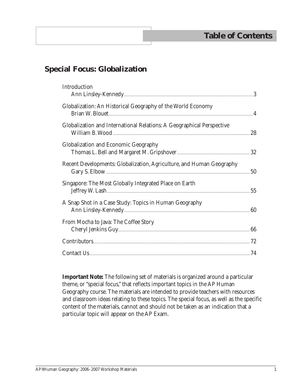# **Special Focus: Globalization**

| Introduction                                                          |    |
|-----------------------------------------------------------------------|----|
| Globalization: An Historical Geography of the World Economy           |    |
| Globalization and International Relations: A Geographical Perspective |    |
| <b>Globalization and Economic Geography</b>                           |    |
| Recent Developments: Globalization, Agriculture, and Human Geography  | 50 |
| Singapore: The Most Globally Integrated Place on Earth                |    |
| A Snap Shot in a Case Study: Topics in Human Geography                |    |
| From Mocha to Java: The Coffee Story                                  |    |
|                                                                       |    |
|                                                                       |    |

 **Important Note:** The following set of materials is organized around a particular theme, or "special focus," that reflects important topics in the AP Human Geography course. The materials are intended to provide teachers with resources and classroom ideas relating to these topics. The special focus, as well as the specific content of the materials, cannot and should not be taken as an indication that a particular topic will appear on the AP Exam.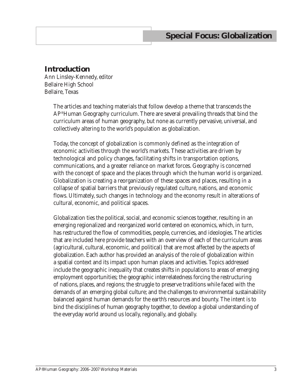# **Introduction**

Ann Linsley-Kennedy, editor Bellaire High School Bellaire, Texas

> The articles and teaching materials that follow develop a theme that transcends the AP® Human Geography curriculum. There are several prevailing threads that bind the curriculum areas of human geography, but none as currently pervasive, universal, and collectively altering to the world's population as globalization.

Today, the concept of globalization is commonly defined as the integration of economic activities through the world's markets. These activities are driven by technological and policy changes, facilitating shifts in transportation options, communications, and a greater reliance on market forces. Geography is concerned with the concept of space and the places through which the human world is organized. Globalization is creating a reorganization of these spaces and places, resulting in a collapse of spatial barriers that previously regulated culture, nations, and economic flows. Ultimately, such changes in technology and the economy result in alterations of cultural, economic, and political spaces.

Globalization ties the political, social, and economic sciences together, resulting in an emerging regionalized and reorganized world centered on economics, which, in turn, has restructured the flow of commodities, people, currencies, and ideologies. The articles that are included here provide teachers with an overview of each of the curriculum areas (agricultural, cultural, economic, and political) that are most affected by the aspects of globalization. Each author has provided an analysis of the role of globalization within a spatial context and its impact upon human places and activities. Topics addressed include the geographic inequality that creates shifts in populations to areas of emerging employment opportunities; the geographic interrelatedness forcing the restructuring of nations, places, and regions; the struggle to preserve traditions while faced with the demands of an emerging global culture; and the challenges to environmental sustainability balanced against human demands for the earth's resources and bounty. The intent is to bind the disciplines of human geography together, to develop a global understanding of the everyday world around us locally, regionally, and globally.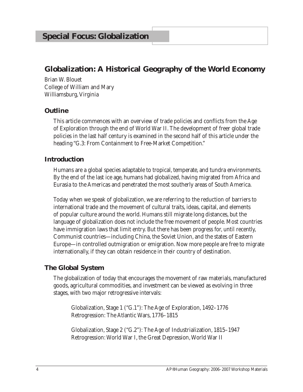# **Globalization: A Historical Geography of the World Economy**

Brian W. Blouet College of William and Mary Williamsburg, Virginia

#### **Outline**

This article commences with an overview of trade policies and conflicts from the Age of Exploration through the end of World War II. The development of freer global trade policies in the last half century is examined in the second half of this article under the heading "G.3: From Containment to Free-Market Competition."

#### **Introduction**

Humans are a global species adaptable to tropical, temperate, and tundra environments. By the end of the last ice age, humans had globalized, having migrated from Africa and Eurasia to the Americas and penetrated the most southerly areas of South America.

Today when we speak of globalization, we are referring to the reduction of barriers to international trade and the movement of cultural traits, ideas, capital, and elements of popular culture around the world. Humans still migrate long distances, but the language of globalization does not include the free movement of people. Most countries have immigration laws that limit entry. But there has been progress for, until recently, Communist countries—including China, the Soviet Union, and the states of Eastern Europe—in controlled outmigration or emigration. Now more people are free to migrate internationally, if they can obtain residence in their country of destination.

## **The Global System**

The globalization of today that encourages the movement of raw materials, manufactured goods, agricultural commodities, and investment can be viewed as evolving in three stages, with two major retrogressive intervals:

Globalization, Stage 1 ("G.1"): The Age of Exploration, 1492–1776 Retrogression: The Atlantic Wars, 1776–1815

Globalization, Stage 2 ("G.2"): The Age of Industrialization, 1815–1947 Retrogression: World War I, the Great Depression, World War II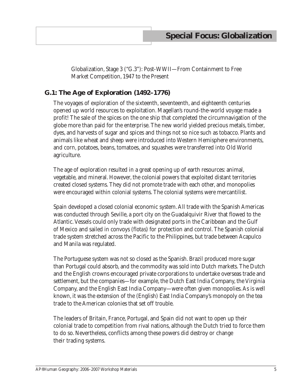Globalization, Stage 3 ("G.3"): Post-WWII—From Containment to Free Market Competition, 1947 to the Present

# **G.1: The Age of Exploration (1492–1776)**

The voyages of exploration of the sixteenth, seventeenth, and eighteenth centuries opened up world resources to exploitation. Magellan's round-the-world voyage made a profit! The sale of the spices on the one ship that completed the circumnavigation of the globe more than paid for the enterprise. The new world yielded precious metals, timber, dyes, and harvests of sugar and spices and things not so nice such as tobacco. Plants and animals like wheat and sheep were introduced into Western Hemisphere environments, and corn, potatoes, beans, tomatoes, and squashes were transferred into Old World agriculture.

The age of exploration resulted in a great opening up of earth resources: animal, vegetable, and mineral. However, the colonial powers that exploited distant territories created closed systems. They did not promote trade with each other, and monopolies were encouraged within colonial systems. The colonial systems were mercantilist.

Spain developed a closed colonial economic system. All trade with the Spanish Americas was conducted through Seville, a port city on the Guadalquivir River that flowed to the Atlantic. Vessels could only trade with designated ports in the Caribbean and the Gulf of Mexico and sailed in convoys (*flotas*) for protection and control. The Spanish colonial trade system stretched across the Pacific to the Philippines, but trade between Acapulco and Manila was regulated.

The Portuguese system was not so closed as the Spanish. Brazil produced more sugar than Portugal could absorb, and the commodity was sold into Dutch markets. The Dutch and the English crowns encouraged private corporations to undertake overseas trade and settlement, but the companies—for example, the Dutch East India Company, the Virginia Company, and the English East India Company—were often given monopolies. As is well known, it was the extension of the (English) East India Company's monopoly on the tea trade to the American colonies that set off trouble.

The leaders of Britain, France, Portugal, and Spain did not want to open up their colonial trade to competition from rival nations, although the Dutch tried to force them to do so. Nevertheless, conflicts among these powers did destroy or change their trading systems.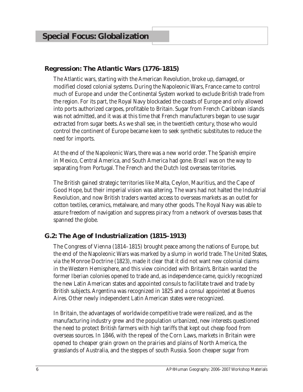# **Regression: The Atlantic Wars (1776–1815)**

The Atlantic wars, starting with the American Revolution, broke up, damaged, or modified closed colonial systems. During the Napoleonic Wars, France came to control much of Europe and under the Continental System worked to exclude British trade from the region. For its part, the Royal Navy blockaded the coasts of Europe and only allowed into ports authorized cargoes, profitable to Britain. Sugar from French Caribbean islands was not admitted, and it was at this time that French manufacturers began to use sugar extracted from sugar beets. As we shall see, in the twentieth century, those who would control the continent of Europe became keen to seek synthetic substitutes to reduce the need for imports.

At the end of the Napoleonic Wars, there was a new world order. The Spanish empire in Mexico, Central America, and South America had gone. Brazil was on the way to separating from Portugal. The French and the Dutch lost overseas territories.

The British gained strategic territories like Malta, Ceylon, Mauritius, and the Cape of Good Hope, but their imperial vision was altering. The wars had not halted the Industrial Revolution, and now British traders wanted access to overseas markets as an outlet for cotton textiles, ceramics, metalware, and many other goods. The Royal Navy was able to assure freedom of navigation and suppress piracy from a network of overseas bases that spanned the globe.

# **G.2: The Age of Industrialization (1815–1913)**

The Congress of Vienna (1814–1815) brought peace among the nations of Europe, but the end of the Napoleonic Wars was marked by a slump in world trade. The United States, via the Monroe Doctrine (1823), made it clear that it did not want new colonial claims in the Western Hemisphere, and this view coincided with Britain's. Britain wanted the former Iberian colonies opened to trade and, as independence came, quickly recognized the new Latin American states and appointed consuls to facilitate travel and trade by British subjects. Argentina was recognized in 1825 and a consul appointed at Buenos Aires. Other newly independent Latin American states were recognized.

In Britain, the advantages of worldwide competitive trade were realized, and as the manufacturing industry grew and the population urbanized, new interests questioned the need to protect British farmers with high tariffs that kept out cheap food from overseas sources. In 1846, with the repeal of the Corn Laws, markets in Britain were opened to cheaper grain grown on the prairies and plains of North America, the grasslands of Australia, and the steppes of south Russia. Soon cheaper sugar from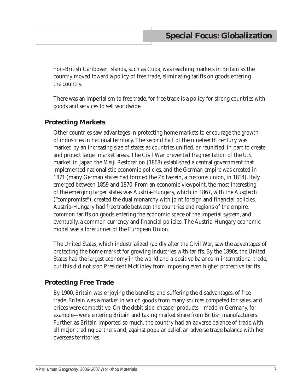non-British Caribbean islands, such as Cuba, was reaching markets in Britain as the country moved toward a policy of free trade, eliminating tariffs on goods entering the country.

There was an imperialism to free trade, for free trade is a policy for strong countries with goods and services to sell worldwide.

## **Protecting Markets**

Other countries saw advantages in protecting home markets to encourage the growth of industries in national territory. The second half of the nineteenth century was marked by an increasing size of states as countries unified, or reunified, in part to create and protect larger market areas. The Civil War prevented fragmentation of the U.S. market, in Japan the Meiji Restoration (1868) established a central government that implemented nationalistic economic policies, and the German empire was created in 1871 (many German states had formed the *Zollverein*, a customs union, in 1834). Italy emerged between 1859 and 1870. From an economic viewpoint, the most interesting of the emerging larger states was Austria-Hungary, which in 1867, with the *Ausgleich*  ("compromise"), created the dual monarchy with joint foreign and financial policies. Austria-Hungary had free trade between the countries and regions of the empire, common tariffs on goods entering the economic space of the imperial system, and eventually, a common currency and financial policies. The Austria-Hungary economic model was a forerunner of the European Union.

The United States, which industrialized rapidly after the Civil War, saw the advantages of protecting the home market for growing industries with tariffs. By the 1890s, the United States had the largest economy in the world and a positive balance in international trade, but this did not stop President McKinley from imposing even higher protective tariffs.

## **Protecting Free Trade**

By 1900, Britain was enjoying the benefits, and suffering the disadvantages, of free trade. Britain was a market in which goods from many sources competed for sales, and prices were competitive. On the debit side, cheaper products—made in Germany, for example—were entering Britain and taking market share from British manufacturers. Further, as Britain imported so much, the country had an adverse balance of trade with all major trading partners and, against popular belief, an adverse trade balance with her overseas territories.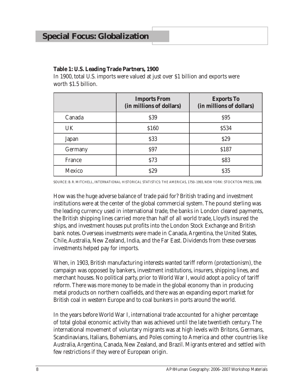#### **Table 1: U.S. Leading Trade Partners, 1900**

In 1900, total U.S. imports were valued at just over \$1 billion and exports were worth \$1.5 billion.

|               | <b>Imports From</b><br>(in millions of dollars) | <b>Exports To</b><br>(in millions of dollars) |
|---------------|-------------------------------------------------|-----------------------------------------------|
| Canada        | <b>\$39</b>                                     | \$95                                          |
| <b>UK</b>     | \$160                                           | \$534                                         |
| Japan         | \$33                                            | \$29                                          |
| Germany       | <b>\$97</b>                                     | \$187                                         |
| France        | \$73                                            | \$83                                          |
| <b>Mexico</b> | <b>S29</b>                                      | \$35                                          |

Source: B. R. Mitchell, *International Historical Statistics: The Americas*, *1750–1993*, New York: Stockton Press, 1998.

How was the huge adverse balance of trade paid for? British trading and investment institutions were at the center of the global commercial system. The pound sterling was the leading currency used in international trade, the banks in London cleared payments, the British shipping lines carried more than half of all world trade, Lloyd's insured the ships, and investment houses put profits into the London Stock Exchange and British bank notes. Overseas investments were made in Canada, Argentina, the United States, Chile, Australia, New Zealand, India, and the Far East. Dividends from these overseas investments helped pay for imports.

When, in 1903, British manufacturing interests wanted tariff reform (protectionism), the campaign was opposed by bankers, investment institutions, insurers, shipping lines, and merchant houses. No political party, prior to World War I, would adopt a policy of tariff reform. There was more money to be made in the global economy than in producing metal products on northern coalfields, and there was an expanding export market for British coal in western Europe and to coal bunkers in ports around the world.

In the years before World War I, international trade accounted for a higher percentage of total global economic activity than was achieved until the late twentieth century. The international movement of voluntary migrants was at high levels with Britons, Germans, Scandinavians, Italians, Bohemians, and Poles coming to America and other countries like Australia, Argentina, Canada, New Zealand, and Brazil. Migrants entered and settled with few restrictions if they were of European origin.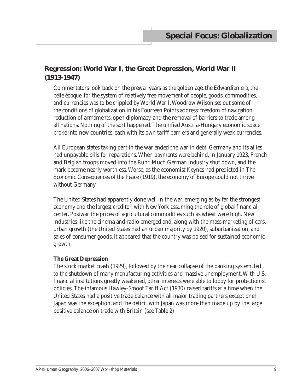# **Regression: World War I, the Great Depression, World War II (1913-1947)**

Commentators look back on the prewar years as the golden age, the Edwardian era, the *belle époque*, for the system of relatively free movement of people, goods, commodities, and currencies was to be crippled by World War I. Woodrow Wilson set out some of the conditions of globalization in his Fourteen Points address: freedom of navigation, reduction of armaments, open diplomacy, and the removal of barriers to trade among all nations. Nothing of the sort happened. The unified Austria-Hungary economic space broke into new countries, each with its own tariff barriers and generally weak currencies.

All European states taking part in the war ended the war in debt. Germany and its allies had unpayable bills for reparations. When payments were behind, in January 1923, French and Belgian troops moved into the Ruhr. Much German industry shut down, and the mark became nearly worthless. Worse, as the economist Keynes had predicted in *The Economic Consequences of the Peace* (1919), the economy of Europe could not thrive without Germany.

The United States had apparently done well in the war, emerging as by far the strongest economy and the largest creditor, with New York assuming the role of global financial center. Postwar the prices of agricultural commodities such as wheat were high. New industries like the cinema and radio emerged and, along with the mass marketing of cars, urban growth (the United States had an urban majority by 1920), suburbanization, and sales of consumer goods, it appeared that the country was poised for sustained economic growth.

#### **The Great Depression**

The stock market crash (1929), followed by the near collapse of the banking system, led to the shutdown of many manufacturing activities and massive unemployment. With U.S. financial institutions greatly weakened, other interests were able to lobby for protectionist policies. The infamous Hawley-Smoot Tariff Act (1930) raised tariffs at a time when the United States had a positive trade balance with all major trading partners except one! Japan was the exception, and the deficit with Japan was more than made up by the large positive balance on trade with Britain (see Table 2).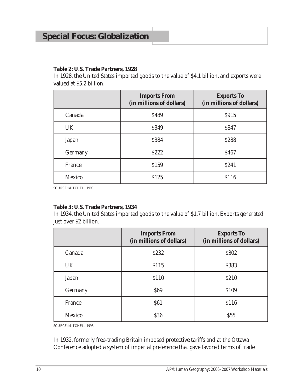# **Special Focus: Globalization**

#### **Table 2: U.S. Trade Partners, 1928**

In 1928, the United States imported goods to the value of \$4.1 billion, and exports were valued at \$5.2 billion.

|              | <b>Imports From</b><br>(in millions of dollars) | <b>Exports To</b><br>(in millions of dollars) |
|--------------|-------------------------------------------------|-----------------------------------------------|
| Canada       | \$489                                           | <b>S915</b>                                   |
| UK           | \$349                                           | \$847                                         |
| <b>Japan</b> | \$384                                           | \$288                                         |
| Germany      | <b>S222</b>                                     | <b>\$467</b>                                  |
| France       | \$159                                           | <b>S241</b>                                   |
| Mexico       | \$125                                           | \$116                                         |

Source: Mitchell 1998.

#### **Table 3: U.S. Trade Partners, 1934**

In 1934, the United States imported goods to the value of \$1.7 billion. Exports generated just over \$2 billion.

|               | <b>Imports From</b><br>(in millions of dollars) | <b>Exports To</b><br>(in millions of dollars) |
|---------------|-------------------------------------------------|-----------------------------------------------|
| Canada        | \$232                                           | \$302                                         |
| UK            | \$115                                           | \$383                                         |
| <b>Japan</b>  | \$110                                           | \$210                                         |
| Germany       | <b>\$69</b>                                     | \$109                                         |
| France        | <b>\$61</b>                                     | \$116                                         |
| <b>Mexico</b> | <b>S36</b>                                      | \$55                                          |

Source: Mitchell 1998.

In 1932, formerly free-trading Britain imposed protective tariffs and at the Ottawa Conference adopted a system of imperial preference that gave favored terms of trade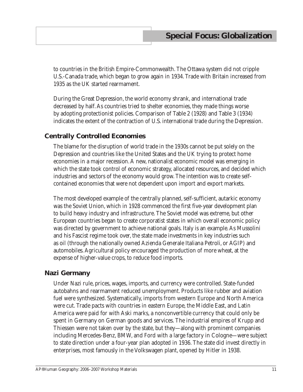to countries in the British Empire-Commonwealth. The Ottawa system did not cripple U.S.-Canada trade, which began to grow again in 1934. Trade with Britain increased from 1935 as the UK started rearmament.

During the Great Depression, the world economy shrank, and international trade decreased by half. As countries tried to shelter economies, they made things worse by adopting protectionist policies. Comparison of Table 2 (1928) and Table 3 (1934) indicates the extent of the contraction of U.S. international trade during the Depression.

# **Centrally Controlled Economies**

The blame for the disruption of world trade in the 1930s cannot be put solely on the Depression and countries like the United States and the UK trying to protect home economies in a major recession. A new, nationalist economic model was emerging in which the state took control of economic strategy, allocated resources, and decided which industries and sectors of the economy would grow. The intention was to create selfcontained economies that were not dependent upon import and export markets.

The most developed example of the centrally planned, self-sufficient, autarkic economy was the Soviet Union, which in 1928 commenced the first five-year development plan to build heavy industry and infrastructure. The Soviet model was extreme, but other European countries began to create corporatist states in which overall economic policy was directed by government to achieve national goals. Italy is an example. As Mussolini and his Fascist regime took over, the state made investments in key industries such as oil (through the nationally owned Azienda Generale Italiana Petroli, or AGIP) and automobiles. Agricultural policy encouraged the production of more wheat, at the expense of higher-value crops, to reduce food imports.

## **Nazi Germany**

Under Nazi rule, prices, wages, imports, and currency were controlled. State-funded autobahns and rearmament reduced unemployment. Products like rubber and aviation fuel were synthesized. Systematically, imports from western Europe and North America were cut. Trade pacts with countries in eastern Europe, the Middle East, and Latin America were paid for with Aski marks, a nonconvertible currency that could only be spent in Germany on German goods and services. The industrial empires of Krupp and Thiessen were not taken over by the state, but they—along with prominent companies including Mercedes-Benz, BMW, and Ford with a large factory in Cologne—were subject to state direction under a four-year plan adopted in 1936. The state did invest directly in enterprises, most famously in the Volkswagen plant, opened by Hitler in 1938.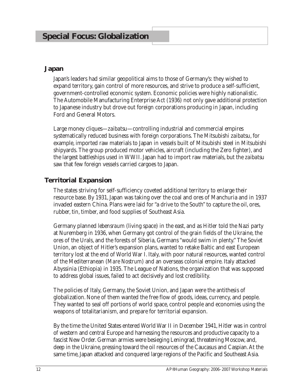#### **Japan**

Japan's leaders had similar geopolitical aims to those of Germany's: they wished to expand territory, gain control of more resources, and strive to produce a self-sufficient, government-controlled economic system. Economic policies were highly nationalistic. The Automobile Manufacturing Enterprise Act (1936) not only gave additional protection to Japanese industry but drove out foreign corporations producing in Japan, including Ford and General Motors.

Large money cliques—*zaibatsu*—controlling industrial and commercial empires systematically reduced business with foreign corporations. The Mitsubishi *zaibatsu*, for example, imported raw materials to Japan in vessels built of Mitsubishi steel in Mitsubishi shipyards. The group produced motor vehicles, aircraft (including the Zero fighter), and the largest battleships used in WWII. Japan had to import raw materials, but the *zaibatsu* saw that few foreign vessels carried cargoes to Japan.

# **Territorial Expansion**

The states striving for self-sufficiency coveted additional territory to enlarge their resource base. By 1931, Japan was taking over the coal and ores of Manchuria and in 1937 invaded eastern China. Plans were laid for "a drive to the South" to capture the oil, ores, rubber, tin, timber, and food supplies of Southeast Asia.

Germany planned *lebensraum* (living space) in the east, and as Hitler told the Nazi party at Nuremberg in 1936, when Germany got control of the grain fields of the Ukraine, the ores of the Urals, and the forests of Siberia, Germans "would swim in plenty." The Soviet Union, an object of Hitler's expansion plans, wanted to retake Baltic and east European territory lost at the end of World War I. Italy, with poor natural resources, wanted control of the Mediterranean (*Mare Nostrum*) and an overseas colonial empire. Italy attacked Abyssinia (Ethiopia) in 1935. The League of Nations, the organization that was supposed to address global issues, failed to act decisively and lost credibility.

The policies of Italy, Germany, the Soviet Union, and Japan were the antithesis of globalization. None of them wanted the free flow of goods, ideas, currency, and people. They wanted to seal off portions of world space, control people and economies using the weapons of totalitarianism, and prepare for territorial expansion.

By the time the United States entered World War II in December 1941, Hitler was in control of western and central Europe and harnessing the resources and productive capacity to a fascist New Order. German armies were besieging Leningrad, threatening Moscow, and, deep in the Ukraine, pressing toward the oil resources of the Caucasus and Caspian. At the same time, Japan attacked and conquered large regions of the Pacific and Southeast Asia.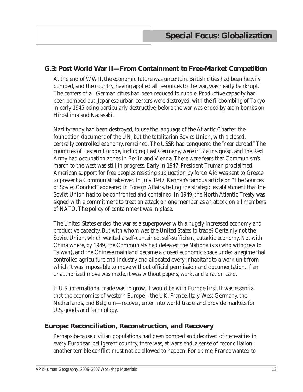## **G.3: Post World War II—From Containment to Free-Market Competition**

At the end of WWII, the economic future was uncertain. British cities had been heavily bombed, and the country, having applied all resources to the war, was nearly bankrupt. The centers of all German cities had been reduced to rubble. Productive capacity had been bombed out. Japanese urban centers were destroyed, with the firebombing of Tokyo in early 1945 being particularly destructive, before the war was ended by atom bombs on Hiroshima and Nagasaki.

Nazi tyranny had been destroyed, to use the language of the Atlantic Charter, the foundation document of the UN, but the totalitarian Soviet Union, with a closed, centrally controlled economy, remained. The USSR had conquered the "near abroad." The countries of Eastern Europe, including East Germany, were in Stalin's grasp, and the Red Army had occupation zones in Berlin and Vienna. There were fears that Communism's march to the west was still in progress. Early in 1947, President Truman proclaimed American support for free peoples resisting subjugation by force. Aid was sent to Greece to prevent a Communist takeover. In July 1947, Kennan's famous article on "The Sources of Soviet Conduct" appeared in *Foreign Affairs*, telling the strategic establishment that the Soviet Union had to be confronted and contained. In 1949, the North Atlantic Treaty was signed with a commitment to treat an attack on one member as an attack on all members of NATO. The policy of containment was in place.

The United States ended the war as a superpower with a hugely increased economy and productive capacity. But with whom was the United States to trade? Certainly not the Soviet Union, which wanted a self-contained, self-sufficient, autarkic economy. Not with China where, by 1949, the Communists had defeated the Nationalists (who withdrew to Taiwan), and the Chinese mainland became a closed economic space under a regime that controlled agriculture and industry and allocated every inhabitant to a work unit from which it was impossible to move without official permission and documentation. If an unauthorized move was made, it was without papers, work, and a ration card.

If U.S. international trade was to grow, it would be with Europe first. It was essential that the economies of western Europe—the UK, France, Italy, West Germany, the Netherlands, and Belgium—recover, enter into world trade, and provide markets for U.S. goods and technology.

## **Europe: Reconciliation, Reconstruction, and Recovery**

Perhaps because civilian populations had been bombed and deprived of necessities in every European belligerent country, there was, at war's end, a sense of reconciliation: another terrible conflict must not be allowed to happen. For a time, France wanted to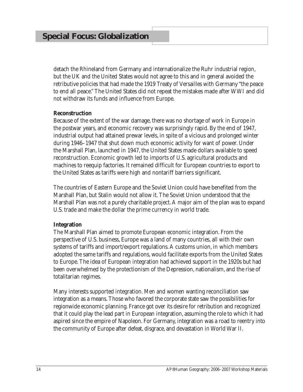detach the Rhineland from Germany and internationalize the Ruhr industrial region, but the UK and the United States would not agree to this and in general avoided the retributive policies that had made the 1919 Treaty of Versailles with Germany "the peace to end all peace." The United States did not repeat the mistakes made after WWI and did not withdraw its funds and influence from Europe.

#### **Reconstruction**

Because of the extent of the war damage, there was no shortage of work in Europe in the postwar years, and economic recovery was surprisingly rapid. By the end of 1947, industrial output had attained prewar levels, in spite of a vicious and prolonged winter during 1946–1947 that shut down much economic activity for want of power. Under the Marshall Plan, launched in 1947, the United States made dollars available to speed reconstruction. Economic growth led to imports of U.S. agricultural products and machines to reequip factories. It remained difficult for European countries to export to the United States as tariffs were high and nontariff barriers significant.

The countries of Eastern Europe and the Soviet Union could have benefited from the Marshall Plan, but Stalin would not allow it. The Soviet Union understood that the Marshall Plan was not a purely charitable project. A major aim of the plan was to expand U.S. trade and make the dollar the prime currency in world trade.

#### **Integration**

The Marshall Plan aimed to promote European economic integration. From the perspective of U.S. business, Europe was a land of many countries, all with their own systems of tariffs and import/export regulations. A customs union, in which members adopted the same tariffs and regulations, would facilitate exports from the United States to Europe. The idea of European integration had achieved support in the 1920s but had been overwhelmed by the protectionism of the Depression, nationalism, and the rise of totalitarian regimes.

Many interests supported integration. Men and women wanting reconciliation saw integration as a means. Those who favored the corporate state saw the possibilities for regionwide economic planning. France got over its desire for retribution and recognized that it could play the lead part in European integration, assuming the role to which it had aspired since the empire of Napoleon. For Germany, integration was a road to reentry into the community of Europe after defeat, disgrace, and devastation in World War II.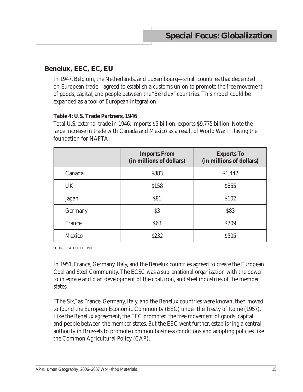# **Benelux, EEC, EC, EU**

In 1947, Belgium, the Netherlands, and Luxembourg—small countries that depended on European trade—agreed to establish a customs union to promote the free movement of goods, capital, and people between the "Benelux" countries. This model could be expanded as a tool of European integration.

#### **Table 4: U.S. Trade Partners, 1946**

Total U.S. external trade in 1946: imports \$5 billion, exports \$9.775 billion. Note the large increase in trade with Canada and Mexico as a result of World War II, laying the foundation for NAFTA.

|               | <b>Imports From</b><br>(in millions of dollars) | <b>Exports To</b><br>(in millions of dollars) |
|---------------|-------------------------------------------------|-----------------------------------------------|
| Canada        | \$883                                           | \$1,442                                       |
| UK            | \$158                                           | <b>\$855</b>                                  |
| Japan         | <b>\$81</b>                                     | \$102                                         |
| Germany       | \$3                                             | \$83                                          |
| France        | <b>\$63</b>                                     | <b>\$709</b>                                  |
| <b>Mexico</b> | \$232                                           | <b>S505</b>                                   |

SOURCE: MITCHELL 1998.

In 1951, France, Germany, Italy, and the Benelux countries agreed to create the European Coal and Steel Community. The ECSC was a supranational organization with the power to integrate and plan development of the coal, iron, and steel industries of the member states.

"The Six," as France, Germany, Italy, and the Benelux countries were known, then moved to found the European Economic Community (EEC) under the Treaty of Rome (1957). Like the Benelux agreement, the EEC promoted the free movement of goods, capital, and people between the member states. But the EEC went further, establishing a central authority in Brussels to promote common business conditions and adopting policies like the Common Agricultural Policy (CAP).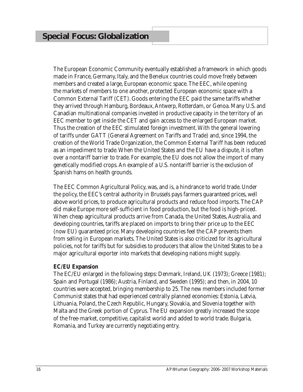The European Economic Community eventually established a framework in which goods made in France, Germany, Italy, and the Benelux countries could move freely between members and created a large, European economic space. The EEC, while opening the markets of members to one another, protected European economic space with a Common External Tariff (CET). Goods entering the EEC paid the same tariffs whether they arrived through Hamburg, Bordeaux, Antwerp, Rotterdam, or Genoa. Many U.S. and Canadian multinational companies invested in productive capacity in the territory of an EEC member to get inside the CET and gain access to the enlarged European market. Thus the creation of the EEC stimulated foreign investment. With the general lowering of tariffs under GATT (General Agreement on Tariffs and Trade) and, since 1994, the creation of the World Trade Organization, the Common External Tariff has been reduced as an impediment to trade. When the United States and the EU have a dispute, it is often over a nontariff barrier to trade. For example, the EU does not allow the import of many genetically modified crops. An example of a U.S. nontariff barrier is the exclusion of Spanish hams on health grounds.

The EEC Common Agricultural Policy, was, and is, a hindrance to world trade. Under the policy, the EEC's central authority in Brussels pays farmers guaranteed prices, well above world prices, to produce agricultural products and reduce food imports. The CAP did make Europe more self-sufficient in food production, but the food is high-priced. When cheap agricultural products arrive from Canada, the United States, Australia, and developing countries, tariffs are placed on imports to bring their price up to the EEC (now EU) guaranteed price. Many developing countries feel the CAP prevents them from selling in European markets. The United States is also criticized for its agricultural policies, not for tariffs but for subsidies to producers that allow the United States to be a major agricultural exporter into markets that developing nations might supply.

#### **EC/EU Expansion**

The EC/EU enlarged in the following steps: Denmark, Ireland, UK (1973); Greece (1981); Spain and Portugal (1986); Austria, Finland, and Sweden (1995); and then, in 2004, 10 countries were accepted, bringing membership to 25. The new members included former Communist states that had experienced centrally planned economies: Estonia, Latvia, Lithuania, Poland, the Czech Republic, Hungary, Slovakia, and Slovenia together with Malta and the Greek portion of Cyprus. The EU expansion greatly increased the scope of the free-market, competitive, capitalist world and added to world trade. Bulgaria, Romania, and Turkey are currently negotiating entry.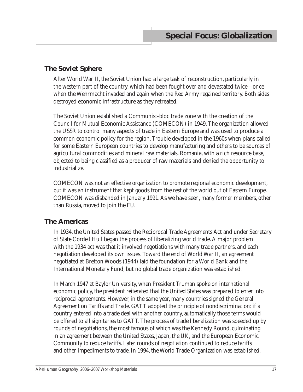# **The Soviet Sphere**

After World War II, the Soviet Union had a large task of reconstruction, particularly in the western part of the country, which had been fought over and devastated twice—once when the Wehrmacht invaded and again when the Red Army regained territory. Both sides destroyed economic infrastructure as they retreated.

The Soviet Union established a Communist-bloc trade zone with the creation of the Council for Mutual Economic Assistance (COMECON) in 1949. The organization allowed the USSR to control many aspects of trade in Eastern Europe and was used to produce a common economic policy for the region. Trouble developed in the 1960s when plans called for some Eastern European countries to develop manufacturing and others to be sources of agricultural commodities and mineral raw materials. Romania, with a rich resource base, objected to being classified as a producer of raw materials and denied the opportunity to industrialize.

COMECON was not an effective organization to promote regional economic development, but it was an instrument that kept goods from the rest of the world out of Eastern Europe. COMECON was disbanded in January 1991. As we have seen, many former members, other than Russia, moved to join the EU.

## **The Americas**

In 1934, the United States passed the Reciprocal Trade Agreements Act and under Secretary of State Cordell Hull began the process of liberalizing world trade. A major problem with the 1934 act was that it involved negotiations with many trade partners, and each negotiation developed its own issues. Toward the end of World War II, an agreement negotiated at Bretton Woods (1944) laid the foundation for a World Bank and the International Monetary Fund, but no global trade organization was established.

In March 1947 at Baylor University, when President Truman spoke on international economic policy, the president reiterated that the United States was prepared to enter into reciprocal agreements. However, in the same year, many countries signed the General Agreement on Tariffs and Trade. GATT adopted the principle of nondiscrimination: if a country entered into a trade deal with another country, automatically those terms would be offered to all signitaries to GATT. The process of trade liberalization was speeded up by rounds of negotiations, the most famous of which was the Kennedy Round, culminating in an agreement between the United States, Japan, the UK, and the European Economic Community to reduce tariffs. Later rounds of negotiation continued to reduce tariffs and other impediments to trade. In 1994, the World Trade Organization was established.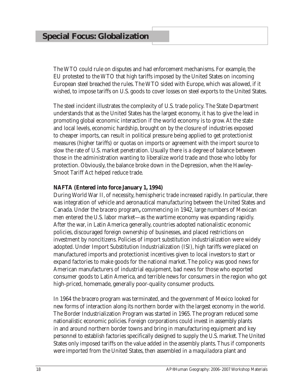The WTO could rule on disputes and had enforcement mechanisms. For example, the EU protested to the WTO that high tariffs imposed by the United States on incoming European steel breached the rules. The WTO sided with Europe, which was allowed, if it wished, to impose tariffs on U.S. goods to cover losses on steel exports to the United States.

The steel incident illustrates the complexity of U.S. trade policy. The State Department understands that as the United States has the largest economy, it has to give the lead in promoting global economic interaction if the world economy is to grow. At the state and local levels, economic hardship, brought on by the closure of industries exposed to cheaper imports, can result in political pressure being applied to get protectionist measures (higher tariffs) or quotas on imports or agreement with the import source to slow the rate of U.S. market penetration. Usually there is a degree of balance between those in the administration wanting to liberalize world trade and those who lobby for protection. Obviously, the balance broke down in the Depression, when the Hawley-Smoot Tariff Act helped reduce trade.

#### **NAFTA (Entered into force January 1, 1994)**

During World War II, of necessity, hemispheric trade increased rapidly. In particular, there was integration of vehicle and aeronautical manufacturing between the United States and Canada. Under the *bracero* program**,** commencing in 1942, large numbers of Mexican men entered the U.S. labor market—as the wartime economy was expanding rapidly. After the war, in Latin America generally, countries adopted nationalistic economic policies, discouraged foreign ownership of businesses, and placed restrictions on investment by noncitizens. Policies of import substitution industrialization were widely adopted. Under Import Substitution Industrialization (ISI), high tariffs were placed on manufactured imports and protectionist incentives given to local investors to start or expand factories to make goods for the national market. The policy was good news for American manufacturers of industrial equipment, bad news for those who exported consumer goods to Latin America, and terrible news for consumers in the region who got high-priced, homemade, generally poor-quality consumer products.

In 1964 the *bracero* program was terminated, and the government of Mexico looked for new forms of interaction along its northern border with the largest economy in the world. The Border Industrialization Program was started in 1965. The program reduced some nationalistic economic policies. Foreign corporations could invest in assembly plants in and around northern border towns and bring in manufacturing equipment and key personnel to establish factories specifically designed to supply the U.S. market. The United States only imposed tariffs on the value added in the assembly plants. Thus if components were imported from the United States, then assembled in a *maquiladora* plant and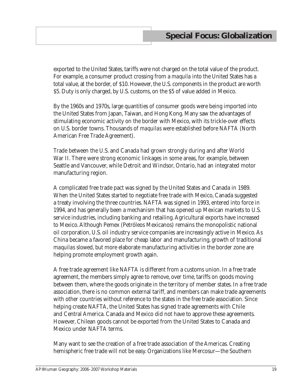exported to the United States, tariffs were not charged on the total value of the product. For example, a consumer product crossing from a *maquila* into the United States has a total value, at the border, of \$10. However, the U.S. components in the product are worth \$5. Duty is only charged, by U.S. customs, on the \$5 of value added in Mexico.

By the 1960s and 1970s, large quantities of consumer goods were being imported into the United States from Japan, Taiwan, and Hong Kong. Many saw the advantages of stimulating economic activity on the border with Mexico, with its trickle-over effects on U.S. border towns. Thousands of *maquilas* were established before NAFTA (North American Free Trade Agreement).

Trade between the U.S. and Canada had grown strongly during and after World War II. There were strong economic linkages in some areas, for example, between Seattle and Vancouver, while Detroit and Windsor, Ontario, had an integrated motor manufacturing region.

A complicated free trade pact was signed by the United States and Canada in 1989. When the United States started to negotiate free trade with Mexico, Canada suggested a treaty involving the three countries. NAFTA was signed in 1993, entered into force in 1994, and has generally been a mechanism that has opened up Mexican markets to U.S. service industries, including banking and retailing. Agricultural exports have increased to Mexico. Although Pemex (Petróleos Mexicanos) remains the monopolistic national oil corporation, U.S. oil industry service companies are increasingly active in Mexico. As China became a favored place for cheap labor and manufacturing, growth of traditional *maquila*s slowed, but more elaborate manufacturing activities in the border zone are helping promote employment growth again.

A free trade agreement like NAFTA is different from a customs union. In a free trade agreement, the members simply agree to remove, over time, tariffs on goods moving between them, where the goods originate in the territory of member states. In a free trade association, there is no common external tariff, and members can make trade agreements with other countries without reference to the states in the free trade association. Since helping create NAFTA, the United States has signed trade agreements with Chile and Central America. Canada and Mexico did not have to approve these agreements. However, Chilean goods cannot be exported from the United States to Canada and Mexico under NAFTA terms.

Many want to see the creation of a free trade association of the Americas. Creating hemispheric free trade will not be easy. Organizations like Mercosur—the Southern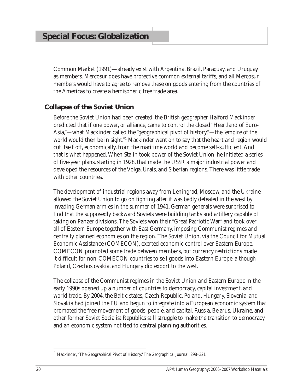Common Market (1991)—already exist with Argentina, Brazil, Paraguay, and Uruguay as members. Mercosur does have protective common external tariffs, and all Mercosur members would have to agree to remove these on goods entering from the countries of the Americas to create a hemispheric free trade area.

# **Collapse of the Soviet Union**

Before the Soviet Union had been created, the British geographer Halford Mackinder predicted that if one power, or alliance, came to control the closed "Heartland of Euro-Asia,"—what Mackinder called the "geographical pivot of history,"—the "empire of the world would then be in sight."1 Mackinder went on to say that the heartland region would cut itself off, economically, from the maritime world and become self-sufficient. And that is what happened. When Stalin took power of the Soviet Union, he initiated a series of five-year plans, starting in 1928, that made the USSR a major industrial power and developed the resources of the Volga, Urals, and Siberian regions. There was little trade with other countries.

The development of industrial regions away from Leningrad, Moscow, and the Ukraine allowed the Soviet Union to go on fighting after it was badly defeated in the west by invading German armies in the summer of 1941. German generals were surprised to find that the supposedly backward Soviets were building tanks and artillery capable of taking on Panzer divisions. The Soviets won their "Great Patriotic War" and took over all of Eastern Europe together with East Germany, imposing Communist regimes and centrally planned economies on the region. The Soviet Union, via the Council for Mutual Economic Assistance (COMECON), exerted economic control over Eastern Europe. COMECON promoted some trade between members, but currency restrictions made it difficult for non-COMECON countries to sell goods into Eastern Europe, although Poland, Czechoslovakia, and Hungary did export to the west.

The collapse of the Communist regimes in the Soviet Union and Eastern Europe in the early 1990s opened up a number of countries to democracy, capital investment, and world trade. By 2004, the Baltic states, Czech Republic, Poland, Hungary, Slovenia, and Slovakia had joined the EU and begun to integrate into a European economic system that promoted the free movement of goods, people, and capital. Russia, Belarus, Ukraine, and other former Soviet Socialist Republics still struggle to make the transition to democracy and an economic system not tied to central planning authorities.

<sup>1</sup> Mackinder, "The Geographical Pivot of History," *The Geographical Journal*, 298–321.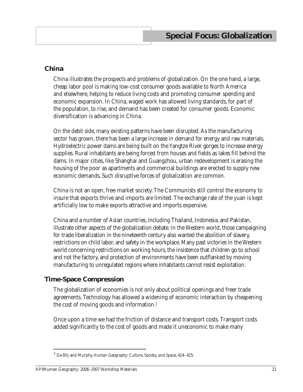## **China**

China illustrates the prospects and problems of globalization. On the one hand, a large, cheap labor pool is making low-cost consumer goods available to North America and elsewhere, helping to reduce living costs and promoting consumer spending and economic expansion. In China, waged work has allowed living standards, for part of the population, to rise, and demand has been created for consumer goods. Economic diversification is advancing in China.

On the debit side, many existing patterns have been disrupted. As the manufacturing sector has grown, there has been a large increase in demand for energy and raw materials. Hydroelectric power dams are being built on the Yangtze River gorges to increase energy supplies. Rural inhabitants are being forced from houses and fields as lakes fill behind the dams. In major cities, like Shanghai and Guangzhou, urban redevelopment is erasing the housing of the poor as apartments and commercial buildings are erected to supply new economic demands. Such disruptive forces of globalization are common.

China is not an open, free-market society. The Communists still control the economy to insure that exports thrive and imports are limited. The exchange rate of the yuan is kept artificially low to make exports attractive and imports expensive.

China and a number of Asian countries, including Thailand, Indonesia, and Pakistan, illustrate other aspects of the globalization debate. In the Western world, those campaigning for trade liberalization in the nineteenth century also wanted the abolition of slavery, restrictions on child labor, and safety in the workplace. Many past victories in the Western world concerning restrictions on working hours, the insistence that children go to school and not the factory, and protection of environments have been outflanked by moving manufacturing to unregulated regions where inhabitants cannot resist exploitation.

## **Time-Space Compression**

The globalization of economies is not only about political openings and freer trade agreements. Technology has allowed a widening of economic interaction by cheapening the cost of moving goods and information.<sup>2</sup>

Once upon a time we had the friction of distance and transport costs. Transport costs added significantly to the cost of goods and made it uneconomic to make many

<sup>2</sup> De Blij and Murphy, *Human Geography: Culture, Society, and Space*, 424–425.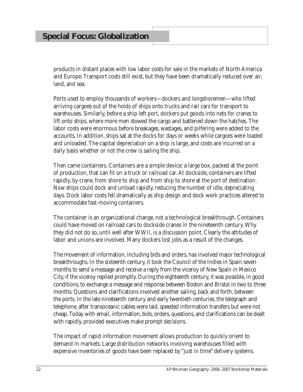products in distant places with low labor costs for sale in the markets of North America and Europe. Transport costs still exist, but they have been dramatically reduced over air, land, and sea.

Ports used to employ thousands of workers—dockers and longshoremen—who lifted arriving cargoes out of the holds of ships onto trucks and rail cars for transport to warehouses. Similarly, before a ship left port, dockers put goods into nets for cranes to lift onto ships, where more men stowed the cargo and battened down the hatches. The labor costs were enormous before breakages, wastages, and pilfering were added to the accounts. In addition, ships sat at the docks for days or weeks while cargoes were loaded and unloaded. The capital depreciation on a ship is large, and costs are incurred on a daily basis whether or not the crew is sailing the ship.

Then came containers. Containers are a simple device: a large box, packed at the point of production, that can fit on a truck or railroad car. At dockside, containers are lifted rapidly, by crane, from shore to ship and from ship to shore at the port of destination. Now ships could dock and unload rapidly, reducing the number of idle, depreciating days. Dock labor costs fell dramatically as ship design and dock work practices altered to accommodate fast-moving containers.

The container is an organizational change, not a technological breakthrough. Containers could have moved on railroad cars to dockside cranes in the nineteenth century. Why they did not do so, until well after WWII, is a discussion point. Clearly the attitudes of labor and unions are involved. Many dockers lost jobs as a result of the changes.

The movement of information, including bids and orders, has involved major technological breakthroughs. In the sixteenth century, it took the Council of the Indies in Spain seven months to send a message and receive a reply from the viceroy of New Spain in Mexico City, if the viceroy replied promptly. During the eighteenth century, it was possible, in good conditions, to exchange a message and response between Boston and Bristol in two to three months. Questions and clarifications involved another sailing, back and forth, between the ports. In the late nineteenth century and early twentieth centuries, the telegraph and telephone, after transoceanic cables were laid, speeded information transfers but were not cheap. Today with email, information, bids, orders, questions, and clarifications can be dealt with rapidly, provided executives make prompt decisions.

The impact of rapid information movement allows production to quickly orient to demand in markets. Large distribution networks involving warehouses filled with expensive inventories of goods have been replaced by "just in time" delivery systems.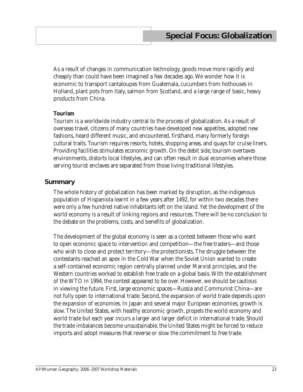As a result of changes in communication technology, goods move more rapidly and cheaply than could have been imagined a few decades ago. We wonder how it is economic to transport cantaloupes from Guatemala, cucumbers from hothouses in Holland, plant pots from Italy, salmon from Scotland, and a large range of basic, heavy products from China.

#### **Tourism**

Tourism is a worldwide industry central to the process of globalization. As a result of overseas travel, citizens of many countries have developed new appetites, adopted new fashions, heard different music, and encountered, firsthand, many formerly foreign cultural traits. Tourism requires resorts, hotels, shopping areas, and quays for cruise liners. Providing facilities stimulates economic growth. On the debit side, tourism overtaxes environments, distorts local lifestyles, and can often result in dual economies where those serving tourist enclaves are separated from those living traditional lifestyles.

#### **Summary**

The whole history of globalization has been marked by disruption, as the indigenous population of Hispaniola learnt in a few years after 1492, for within two decades there were only a few hundred native inhabitants left on the island. Yet the development of the world economy is a result of linking regions and resources. There will be no conclusion to the debate on the problems, costs, and benefits of globalization.

The development of the global economy is seen as a contest between those who want to open economic space to intervention and competition—the free traders—and those who wish to close and protect territory—the protectionists. The struggle between the contestants reached an apex in the Cold War when the Soviet Union wanted to create a self-contained economic region centrally planned under Marxist principles, and the Western countries worked to establish free trade on a global basis. With the establishment of the WTO in 1994, the contest appeared to be over. However, we should be cautious in viewing the future. First, large economic spaces—Russia and Communist China—are not fully open to international trade. Second, the expansion of world trade depends upon the expansion of economies. In Japan and several major European economies, growth is slow. The United States, with healthy economic growth, propels the world economy and world trade but each year incurs a larger and larger deficit in international trade. Should the trade imbalances become unsustainable, the United States might be forced to reduce imports and adopt measures that reverse or slow the commitment to free trade.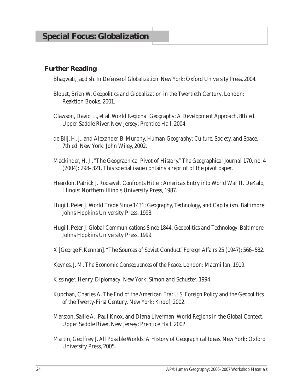#### **Further Reading**

Bhagwati, Jagdish. *In Defense of Globalization*. New York: Oxford University Press, 2004.

- Blouet, Brian W. *Geopolitics and Globalization in the Twentieth Century*. London: Reaktion Books, 2001.
- Clawson, David L., et al. *World Regional Geography: A Development Approach*. 8th ed. Upper Saddle River, New Jersey: Prentice Hall, 2004.
- de Blij, H. J., and Alexander B. Murphy. *Human Geography: Culture, Society, and Space*. 7th ed. New York: John Wiley, 2002.
- Mackinder, H. J., "The Geographical Pivot of History." *The Geographical Journal* 170, no. 4 (2004): 298–321. This special issue contains a reprint of the pivot paper.
- Heardon, Patrick J. *Roosevelt Confronts Hitler: America's Entry into World War II*. DeKalb, Illinois: Northern Illinois University Press, 1987.
- Hugill, Peter J. *World Trade Since 1431: Geography, Technology, and Capitalism*. Baltimore: Johns Hopkins University Press, 1993.
- Hugill, Peter J. *Global Communications Since 1844: Geopolitics and Technology*. Baltimore: Johns Hopkins University Press, 1999.
- X [George F. Kennan]. "The Sources of Soviet Conduct" *Foreign Affairs* 25 (1947): 566–582.
- Keynes, J. M. *The Economic Consequences of the Peace*. London: Macmillan, 1919.
- Kissinger, Henry. *Diplomacy*. New York: Simon and Schuster, 1994.
- Kupchan, Charles A. *The End of the American Era: U.S. Foreign Policy and the Geopolitics of the Twenty-First Century*. New York: Knopf, 2002.
- Marston, Sallie A., Paul Knox, and Diana Liverman. *World Regions in the Global Context*. Upper Saddle River, New Jersey: Prentice Hall, 2002.
- Martin, Geoffrey J. *All Possible Worlds: A History of Geographical Ideas*. New York: Oxford University Press, 2005.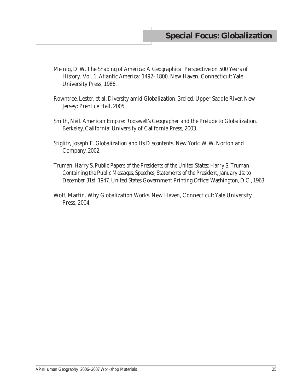- Meinig, D. W. *The Shaping of America: A Geographical Perspective on 500 Years of History*. Vol. 1, *Atlantic America: 1492–1800*. New Haven, Connecticut: Yale University Press, 1986.
- Rowntree, Lester, et al. *Diversity amid Globalization*. 3rd ed. Upper Saddle River, New Jersey: Prentice Hall, 2005.
- Smith, Neil. *American Empire: Roosevelt's Geographer and the Prelude to Globalization*. Berkeley, California: University of California Press, 2003.
- Stiglitz, Joseph E. *Globalization and Its Discontents*. New York: W. W. Norton and Company, 2002.
- Truman, Harry S. *Public Papers of the Presidents of the United States: Harry S. Truman: Containing the Public Messages, Speeches, Statements of the President, January 1st to December 31st, 1947*. United States Government Printing Office: Washington, D.C., 1963.
- Wolf, Martin. *Why Globalization Works*. New Haven, Connecticut: Yale University Press, 2004.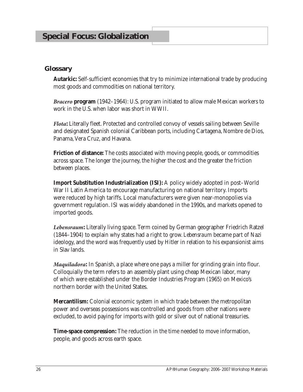#### **Glossary**

**Autarkic:** Self-sufficient economies that try to minimize international trade by producing most goods and commodities on national territory.

*Bracero* **program** (1942–1964): U.S. program initiated to allow male Mexican workers to work in the U.S. when labor was short in WWII.

*Flota***:** Literally fleet. Protected and controlled convoy of vessels sailing between Seville and designated Spanish colonial Caribbean ports, including Cartagena, Nombre de Dios, Panama, Vera Cruz, and Havana.

**Friction of distance:** The costs associated with moving people, goods, or commodities across space. The longer the journey, the higher the cost and the greater the friction between places.

**Import Substitution Industrialization (ISI):** A policy widely adopted in post–World War II Latin America to encourage manufacturing on national territory. Imports were reduced by high tariffs. Local manufacturers were given near-monopolies via government regulation. ISI was widely abandoned in the 1990s, and markets opened to imported goods.

*Lebensraum***:** Literally living space. Term coined by German geographer Friedrich Ratzel (1844–1904) to explain why states had a right to grow. *Lebensraum* became part of Nazi ideology, and the word was frequently used by Hitler in relation to his expansionist aims in Slav lands.

*Maquiladora***:** In Spanish, a place where one pays a miller for grinding grain into flour. Colloquially the term refers to an assembly plant using cheap Mexican labor, many of which were established under the Border Industries Program (1965) on Mexico's northern border with the United States.

**Mercantilism:** Colonial economic system in which trade between the metropolitan power and overseas possessions was controlled and goods from other nations were excluded, to avoid paying for imports with gold or silver out of national treasuries.

**Time-space compression:** The reduction in the time needed to move information, people, and goods across earth space.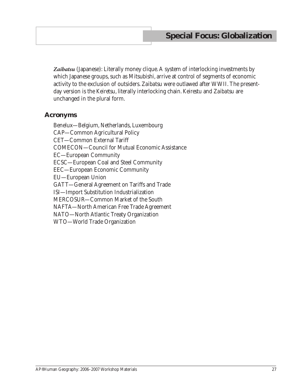Zaibatsu (Japanese): Literally money clique. A system of interlocking investments by which Japanese groups, such as Mitsubishi, arrive at control of segments of economic activity to the exclusion of outsiders. *Zaibatsu* were outlawed after WWII. The presentday version is the *Keiretsu*, literally interlocking chain. *Keirestu* and *Zaibatsu* are unchanged in the plural form.

#### **Acronyms**

Benelux—Belgium, Netherlands, Luxembourg CAP—Common Agricultural Policy CET—Common External Tariff COMECON—Council for Mutual Economic Assistance EC—European Community ECSC—European Coal and Steel Community EEC—European Economic Community EU—European Union GATT—General Agreement on Tariffs and Trade ISI—Import Substitution Industrialization MERCOSUR—Common Market of the South NAFTA—North American Free Trade Agreement NATO—North Atlantic Treaty Organization WTO—World Trade Organization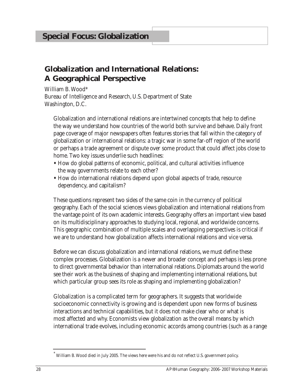# **Globalization and International Relations: A Geographical Perspective**

William B. Wood\* Bureau of Intelligence and Research, U.S. Department of State Washington, D.C.

Globalization and international relations are intertwined concepts that help to define the way we understand how countries of the world both survive and behave. Daily front page coverage of major newspapers often features stories that fall within the category of globalization or international relations: a tragic war in some far-off region of the world or perhaps a trade agreement or dispute over some product that could affect jobs close to home. Two key issues underlie such headlines:

- **•** How do global patterns of economic, political, and cultural activities influence the way governments relate to each other?
- **•** How do international relations depend upon global aspects of trade, resource dependency, and capitalism?

These questions represent two sides of the same coin in the currency of political geography. Each of the social sciences views globalization and international relations from the vantage point of its own academic interests. Geography offers an important view based on its multidisciplinary approaches to studying local, regional, and worldwide concerns. This geographic combination of multiple scales and overlapping perspectives is critical if we are to understand how globalization affects international relations and vice versa.

Before we can discuss globalization and international relations, we must define these complex processes. Globalization is a newer and broader concept and perhaps is less prone to direct governmental behavior than international relations. Diplomats around the world see their work as the business of shaping and implementing international relations, but which particular group sees its role as shaping and implementing globalization?

Globalization is a complicated term for geographers. It suggests that worldwide socioeconomic connectivity is growing and is dependent upon new forms of business interactions and technical capabilities, but it does not make clear who or what is most affected and why. Economists view globalization as the overall means by which international trade evolves, including economic accords among countries (such as a range

William B. Wood died in July 2005. The views here were his and do not reflect U.S. government policy.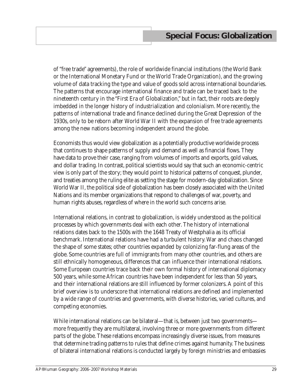of "free trade" agreements), the role of worldwide financial institutions (the World Bank or the International Monetary Fund or the World Trade Organization), and the growing volume of data tracking the type and value of goods sold across international boundaries. The patterns that encourage international finance and trade can be traced back to the nineteenth century in the "First Era of Globalization," but in fact, their roots are deeply imbedded in the longer history of industrialization and colonialism. More recently, the patterns of international trade and finance declined during the Great Depression of the 1930s, only to be reborn after World War II with the expansion of free trade agreements among the new nations becoming independent around the globe.

Economists thus would view globalization as a potentially productive worldwide process that continues to shape patterns of supply and demand as well as financial flows. They have data to prove their case, ranging from volumes of imports and exports, gold values, and dollar trading. In contrast, political scientists would say that such an economic-centric view is only part of the story; they would point to historical patterns of conquest, plunder, and treaties among the ruling elite as setting the stage for modern-day globalization. Since World War II, the political side of globalization has been closely associated with the United Nations and its member organizations that respond to challenges of war, poverty, and human rights abuses, regardless of where in the world such concerns arise.

International relations, in contrast to globalization, is widely understood as the political processes by which governments deal with each other. The history of international relations dates back to the 1500s with the 1648 Treaty of Westphalia as its official benchmark. International relations have had a turbulent history. War and chaos changed the shape of some states; other countries expanded by colonizing far-flung areas of the globe. Some countries are full of immigrants from many other countries, and others are still ethnically homogeneous, differences that can influence their international relations. Some European countries trace back their own formal history of international diplomacy 500 years, while some African countries have been independent for less than 50 years, and their international relations are still influenced by former colonizers. A point of this brief overview is to underscore that international relations are defined and implemented by a wide range of countries and governments, with diverse histories, varied cultures, and competing economies.

While international relations can be bilateral—that is, between just two governments more frequently they are multilateral, involving three or more governments from different parts of the globe. These relations encompass increasingly diverse issues, from measures that determine trading patterns to rules that define crimes against humanity. The business of bilateral international relations is conducted largely by foreign ministries and embassies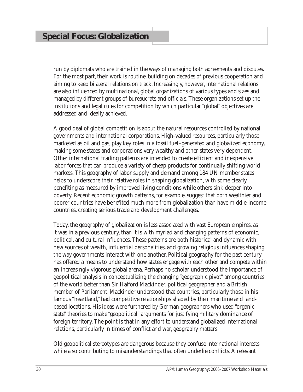run by diplomats who are trained in the ways of managing both agreements and disputes. For the most part, their work is routine, building on decades of previous cooperation and aiming to keep bilateral relations on track. Increasingly, however, international relations are also influenced by multinational, global organizations of various types and sizes and managed by different groups of bureaucrats and officials. These organizations set up the institutions and legal rules for competition by which particular "global" objectives are addressed and ideally achieved.

A good deal of global competition is about the natural resources controlled by national governments and international corporations. High-valued resources, particularly those marketed as oil and gas, play key roles in a fossil fuel–generated and globalized economy, making some states and corporations very wealthy and other states very dependent. Other international trading patterns are intended to create efficient and inexpensive labor forces that can produce a variety of cheap products for continually shifting world markets. This geography of labor supply and demand among 184 UN member states helps to underscore their relative roles in shaping globalization, with some clearly benefiting as measured by improved living conditions while others sink deeper into poverty. Recent economic growth patterns, for example, suggest that both wealthier and poorer countries have benefited much more from globalization than have middle-income countries, creating serious trade and development challenges.

Today, the geography of globalization is less associated with vast European empires, as it was in a previous century, than it is with myriad and changing patterns of economic, political, and cultural influences. These patterns are both historical and dynamic with new sources of wealth, influential personalities, and growing religious influences shaping the way governments interact with one another. Political geography for the past century has offered a means to understand how states engage with each other and compete within an increasingly vigorous global arena. Perhaps no scholar understood the importance of geopolitical analysis in conceptualizing the changing "geographic pivot" among countries of the world better than Sir Halford Mackinder, political geographer and a British member of Parliament. Mackinder understood that countries, particularly those in his famous "heartland," had competitive relationships shaped by their maritime and landbased locations. His ideas were furthered by German geographers who used "organic state" theories to make "geopolitical" arguments for justifying military dominance of foreign territory. The point is that in any effort to understand globalized international relations, particularly in times of conflict and war, geography matters.

Old geopolitical stereotypes are dangerous because they confuse international interests while also contributing to misunderstandings that often underlie conflicts. A relevant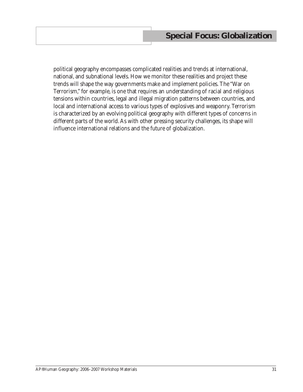political geography encompasses complicated realities and trends at international, national, and subnational levels. How we monitor these realities and project these trends will shape the way governments make and implement policies. The "War on Terrorism," for example, is one that requires an understanding of racial and religious tensions within countries, legal and illegal migration patterns between countries, and local and international access to various types of explosives and weaponry. Terrorism is characterized by an evolving political geography with different types of concerns in different parts of the world. As with other pressing security challenges, its shape will influence international relations and the future of globalization.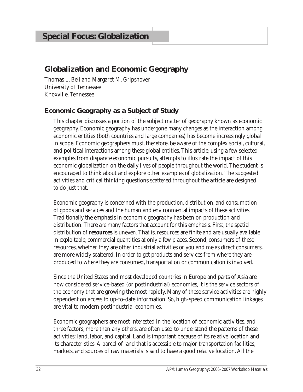# **Globalization and Economic Geography**

Thomas L. Bell and Margaret M. Gripshover University of Tennessee Knoxville, Tennessee

# **Economic Geography as a Subject of Study**

This chapter discusses a portion of the subject matter of geography known as economic geography. Economic geography has undergone many changes as the interaction among economic entities (both countries and large companies) has become increasingly global in scope. Economic geographers must, therefore, be aware of the complex social, cultural, and political interactions among these global entities. This article, using a few selected examples from disparate economic pursuits, attempts to illustrate the impact of this economic globalization on the daily lives of people throughout the world. The student is encouraged to think about and explore other examples of globalization. The suggested activities and critical thinking questions scattered throughout the article are designed to do just that.

Economic geography is concerned with the production, distribution, and consumption of goods and services and the human and environmental impacts of these activities. Traditionally the emphasis in economic geography has been on production and distribution. There are many factors that account for this emphasis. First, the spatial distribution of **resources** is uneven. That is, resources are finite and are usually available in exploitable, commercial quantities at only a few places. Second, consumers of these resources, whether they are other industrial activities or you and me as direct consumers, are more widely scattered. In order to get products and services from where they are produced to where they are consumed, transportation or communication is involved.

Since the United States and most developed countries in Europe and parts of Asia are now considered service-based (or postindustrial) economies, it is the service sectors of the economy that are growing the most rapidly. Many of these service activities are highly dependent on access to up-to-date information. So, high-speed communication linkages are vital to modern postindustrial economies.

Economic geographers are most interested in the location of economic activities, and three factors, more than any others, are often used to understand the patterns of these activities: land, labor, and capital. Land is important because of its relative location and its characteristics. A parcel of land that is accessible to major transportation facilities, markets, and sources of raw materials is said to have a good relative location. All the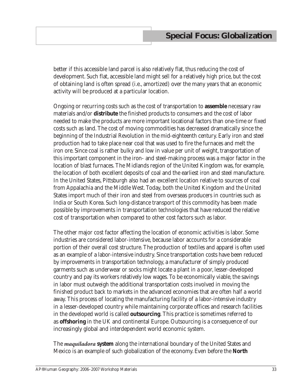better if this accessible land parcel is also relatively flat, thus reducing the cost of development. Such flat, accessible land might sell for a relatively high price, but the cost of obtaining land is often spread (i.e., amortized) over the many years that an economic activity will be produced at a particular location.

Ongoing or recurring costs such as the cost of transportation to **assemble** necessary raw materials and/or **distribute** the finished products to consumers and the cost of labor needed to make the products are more important locational factors than one-time or fixed costs such as land. The cost of moving commodities has decreased dramatically since the beginning of the Industrial Revolution in the mid-eighteenth century. Early iron and steel production had to take place near coal that was used to fire the furnaces and melt the iron ore. Since coal is rather bulky and low in value per unit of weight, transportation of this important component in the iron- and steel-making process was a major factor in the location of blast furnaces. The Midlands region of the United Kingdom was, for example, the location of both excellent deposits of coal and the earliest iron and steel manufacture. In the United States, Pittsburgh also had an excellent location relative to sources of coal from Appalachia and the Middle West. Today, both the United Kingdom and the United States import much of their iron and steel from overseas producers in countries such as India or South Korea. Such long-distance transport of this commodity has been made possible by improvements in transportation technologies that have reduced the relative cost of transportation when compared to other cost factors such as labor.

The other major cost factor affecting the location of economic activities is labor. Some industries are considered labor-intensive, because labor accounts for a considerable portion of their overall cost structure. The production of textiles and apparel is often used as an example of a labor-intensive industry. Since transportation costs have been reduced by improvements in transportation technology, a manufacturer of simply produced garments such as underwear or socks might locate a plant in a poor, lesser-developed country and pay its workers relatively low wages. To be economically viable, the savings in labor must outweigh the additional transportation costs involved in moving the finished product back to markets in the advanced economies that are often half a world away. This process of locating the manufacturing facility of a labor-intensive industry in a lesser-developed country while maintaining corporate offices and research facilities in the developed world is called **outsourcing**. This practice is sometimes referred to as **offshoring** in the UK and continental Europe. Outsourcing is a consequence of our increasingly global and interdependent world economic system.

The *maquiladora* **system** along the international boundary of the United States and Mexico is an example of such globalization of the economy. Even before the **North**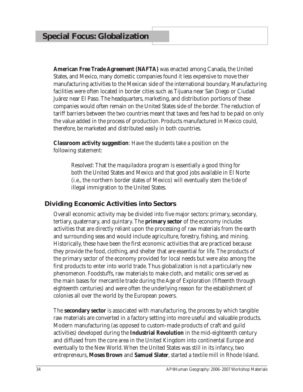**American Free Trade Agreement (NAFTA)** was enacted among Canada, the United States, and Mexico, many domestic companies found it less expensive to move their manufacturing activities to the Mexican side of the international boundary. Manufacturing facilities were often located in border cities such as Tijuana near San Diego or Ciudad Juárez near El Paso. The headquarters, marketing, and distribution portions of these companies would often remain on the United States side of the border. The reduction of tariff barriers between the two countries meant that taxes and fees had to be paid on only the value added in the process of production. Products manufactured in Mexico could, therefore, be marketed and distributed easily in both countries.

**Classroom activity suggestion**: Have the students take a position on the following statement:

Resolved: That the *maquiladora* program is essentially a good thing for both the United States and Mexico and that good jobs available in El Norte (i.e., the northern border states of Mexico) will eventually stem the tide of illegal immigration to the United States*.*

# **Dividing Economic Activities into Sectors**

Overall economic activity may be divided into five major sectors: primary, secondary, tertiary, quaternary, and quintary. The **primary sector** of the economy includes activities that are directly reliant upon the processing of raw materials from the earth and surrounding seas and would include agriculture, forestry, fishing, and mining. Historically, these have been the first economic activities that are practiced because they provide the food, clothing, and shelter that are essential for life. The products of the primary sector of the economy provided for local needs but were also among the first products to enter into world trade. Thus globalization is not a particularly new phenomenon. Foodstuffs, raw materials to make cloth, and metallic ores served as the main bases for mercantile trade during the Age of Exploration (fifteenth through eighteenth centuries) and were often the underlying reason for the establishment of colonies all over the world by the European powers.

The **secondary sector** is associated with manufacturing, the process by which tangible raw materials are converted in a factory setting into more useful and valuable products. Modern manufacturing (as opposed to custom-made products of craft and guild activities) developed during the **Industrial Revolution** in the mid-eighteenth century and diffused from the core area in the United Kingdom into continental Europe and eventually to the New World. When the United States was still in its infancy, two entrepreneurs, **Moses Brown** and **Samuel Slater**, started a textile mill in Rhode Island.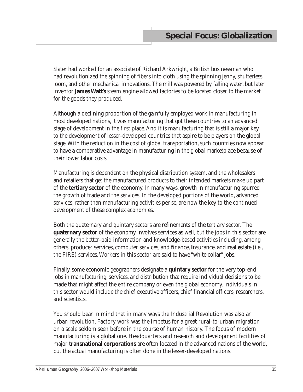Slater had worked for an associate of Richard Arkwright, a British businessman who had revolutionized the spinning of fibers into cloth using the spinning jenny, shutterless loom, and other mechanical innovations. The mill was powered by falling water, but later inventor **James Watt's** steam engine allowed factories to be located closer to the market for the goods they produced.

Although a declining proportion of the gainfully employed work in manufacturing in most developed nations, it was manufacturing that got these countries to an advanced stage of development in the first place. And it is manufacturing that is still a major key to the development of lesser-developed countries that aspire to be players on the global stage. With the reduction in the cost of global transportation, such countries now appear to have a comparative advantage in manufacturing in the global marketplace because of their lower labor costs.

Manufacturing is dependent on the physical distribution system, and the wholesalers and retailers that get the manufactured products to their intended markets make up part of the **tertiary sector** of the economy. In many ways, growth in manufacturing spurred the growth of trade and the services. In the developed portions of the world, advanced services, rather than manufacturing activities per se, are now the key to the continued development of these complex economies.

Both the quaternary and quintary sectors are refinements of the tertiary sector. The **quaternary sector** of the economy involves services as well, but the jobs in this sector are generally the better-paid information and knowledge-based activities including, among others, producer services, computer services, and **f**inance, **i**nsurance, and **r**eal **e**state (i.e., the FIRE) services. Workers in this sector are said to have "white collar" jobs.

Finally, some economic geographers designate a **quintary sector** for the very top-end jobs in manufacturing, services, and distribution that require individual decisions to be made that might affect the entire company or even the global economy. Individuals in this sector would include the chief executive officers, chief financial officers, researchers, and scientists.

You should bear in mind that in many ways the Industrial Revolution was also an urban revolution. Factory work was the impetus for a great rural-to-urban migration on a scale seldom seen before in the course of human history. The focus of modern manufacturing is a global one. Headquarters and research and development facilities of major **transnational corporations** are often located in the advanced nations of the world, but the actual manufacturing is often done in the lesser-developed nations.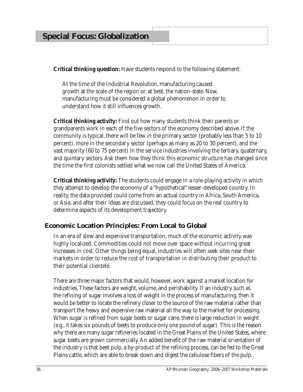**Critical thinking question:** Have students respond to the following statement*:* 

At the time of the Industrial Revolution, manufacturing caused growth at the scale of the region or, at best, the nation-state. Now, manufacturing must be considered a global phenomenon in order to understand how it still influences growth.

**Critical thinking activity:** Find out how many students think their parents or grandparents work in each of the five sectors of the economy described above. If the community is typical, there will be few in the primary sector (probably less than 5 to 10 percent), more in the secondary sector (perhaps as many as 20 to 30 percent), and the vast majority (60 to 75 percent) in the service industries involving the tertiary, quaternary, and quintary sectors. Ask them how they think this economic structure has changed since the time the first colonists settled what we now call the United States of America.

**Critical thinking activity:** The students could engage in a role-playing activity in which they attempt to develop the economy of a "hypothetical" lesser-developed country. In reality, the data provided could come from an actual country in Africa, South America, or Asia, and after their ideas are discussed, they could focus on the real country to determine aspects of its development trajectory.

## **Economic Location Principles: From Local to Global**

In an era of slow and expensive transportation, much of the economic activity was highly localized. Commodities could not move over space without incurring great increases in cost. Other things being equal, industries will often seek sites near their markets in order to reduce the cost of transportation in distributing their product to their potential clientele.

There are three major factors that would, however, work against a market location for industries. These factors are weight, volume, and perishability. If an industry such as the refining of sugar involves a loss of weight in the process of manufacturing, then it would be better to locate the refinery closer to the source of the raw material rather than transport the heavy and expensive raw material all the way to the market for processing. When sugar is refined from sugar beets or sugar cane, there is large reduction in weight (e.g., it takes six pounds of beets to produce only one pound of sugar). This is the reason why there are many sugar refineries located in the Great Plains of the United States, where sugar beets are grown commercially. An added benefit of the raw material orientation of the industry is that beet pulp, a by-product of the refining process, can be fed to the Great Plains cattle, which are able to break down and digest the cellulose fibers of the pulp.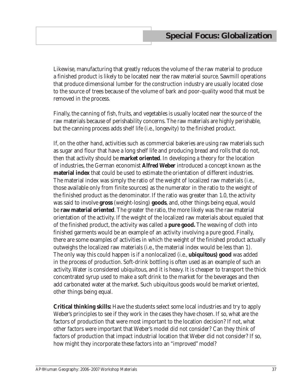Likewise, manufacturing that greatly reduces the volume of the raw material to produce a finished product is likely to be located near the raw material source. Sawmill operations that produce dimensional lumber for the construction industry are usually located close to the source of trees because of the volume of bark and poor-quality wood that must be removed in the process.

Finally, the canning of fish, fruits, and vegetables is usually located near the source of the raw materials because of perishability concerns. The raw materials are highly perishable, but the canning process adds shelf life (i.e., longevity) to the finished product.

If, on the other hand, activities such as commercial bakeries are using raw materials such as sugar and flour that have a long shelf life and producing bread and rolls that do not, then that activity should be **market oriented**. In developing a theory for the location of industries, the German economist **Alfred Weber** introduced a concept known as the **material index** that could be used to estimate the orientation of different industries. The material index was simply the ratio of the weight of localized raw materials (i.e., those available only from finite sources) as the numerator in the ratio to the weight of the finished product as the denominator. If the ratio was greater than 1.0, the activity was said to involve **gross** (weight-losing) **goods**, and, other things being equal, would be **raw material oriented**. The greater the ratio, the more likely was the raw material orientation of the activity. If the weight of the localized raw materials about equaled that of the finished product, the activity was called a **pure good.** The weaving of cloth into finished garments would be an example of an activity involving a pure good. Finally, there are some examples of activities in which the weight of the finished product actually outweighs the localized raw materials (i.e., the material index would be less than 1). The only way this could happen is if a nonlocalized (i.e., **ubiquitous) good** was added in the process of production. Soft-drink bottling is often used as an example of such an activity. Water is considered ubiquitous, and it is heavy. It is cheaper to transport the thick concentrated syrup used to make a soft drink to the market for the beverages and then add carbonated water at the market. Such ubiquitous goods would be market oriented, other things being equal.

**Critical thinking skills:** Have the students select some local industries and try to apply Weber's principles to see if they work in the cases they have chosen. If so, what are the factors of production that were most important to the location decision? If not, what other factors were important that Weber's model did not consider? Can they think of factors of production that impact industrial location that Weber did not consider? If so, how might they incorporate these factors into an "improved" model?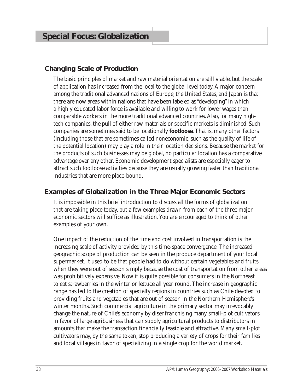## **Changing Scale of Production**

The basic principles of market and raw material orientation are still viable, but the scale of application has increased from the local to the global level today. A major concern among the traditional advanced nations of Europe, the United States, and Japan is that there are now areas within nations that have been labeled as "developing" in which a highly educated labor force is available and willing to work for lower wages than comparable workers in the more traditional advanced countries. Also, for many hightech companies, the pull of either raw materials or specific markets is diminished. Such companies are sometimes said to be locationally **footloose**. That is, many other factors (including those that are sometimes called noneconomic, such as the quality of life of the potential location) may play a role in their location decisions. Because the market for the products of such businesses may be global, no particular location has a comparative advantage over any other. Economic development specialists are especially eager to attract such footloose activities because they are usually growing faster than traditional industries that are more place-bound.

### **Examples of Globalization in the Three Major Economic Sectors**

It is impossible in this brief introduction to discuss all the forms of globalization that are taking place today, but a few examples drawn from each of the three major economic sectors will suffice as illustration. You are encouraged to think of other examples of your own.

One impact of the reduction of the time and cost involved in transportation is the increasing scale of activity provided by this time-space convergence. The increased geographic scope of production can be seen in the produce department of your local supermarket. It used to be that people had to do without certain vegetables and fruits when they were out of season simply because the cost of transportation from other areas was prohibitively expensive. Now it is quite possible for consumers in the Northeast to eat strawberries in the winter or lettuce all year round. The increase in geographic range has led to the creation of specialty regions in countries such as Chile devoted to providing fruits and vegetables that are out of season in the Northern Hemisphere's winter months. Such commercial agriculture in the primary sector may irrevocably change the nature of Chile's economy by disenfranchising many small-plot cultivators in favor of large agribusiness that can supply agricultural products to distributors in amounts that make the transaction financially feasible and attractive. Many small-plot cultivators may, by the same token, stop producing a variety of crops for their families and local villages in favor of specializing in a single crop for the world market.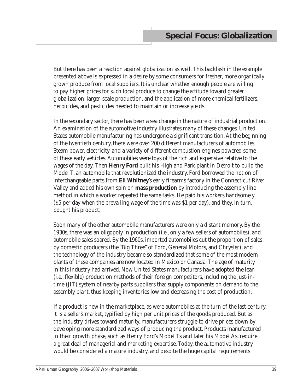But there has been a reaction against globalization as well. This backlash in the example presented above is expressed in a desire by some consumers for fresher, more organically grown produce from local suppliers. It is unclear whether enough people are willing to pay higher prices for such local produce to change the attitude toward greater globalization, larger-scale production, and the application of more chemical fertilizers, herbicides, and pesticides needed to maintain or increase yields.

In the secondary sector, there has been a sea change in the nature of industrial production. An examination of the automotive industry illustrates many of these changes. United States automobile manufacturing has undergone a significant transition. At the beginning of the twentieth century, there were over 200 different manufacturers of automobiles. Steam power, electricity, and a variety of different combustion engines powered some of these early vehicles. Automobiles were toys of the rich and expensive relative to the wages of the day. Then **Henry Ford** built his Highland Park plant in Detroit to build the Model T, an automobile that revolutionized the industry. Ford borrowed the notion of interchangeable parts from **Eli Whitney**'s early firearms factory in the Connecticut River Valley and added his own spin on **mass production** by introducing the assembly line method in which a worker repeated the same tasks. He paid his workers handsomely (\$5 per day when the prevailing wage of the time was \$1 per day), and they, in turn, bought his product.

Soon many of the other automobile manufacturers were only a distant memory. By the 1930s, there was an oligopoly in production (i.e., only a few sellers of automobiles), and automobile sales soared. By the 1960s, imported automobiles cut the proportion of sales by domestic producers (the "Big Three" of Ford, General Motors, and Chrysler), and the technology of the industry became so standardized that some of the most modern plants of these companies are now located in Mexico or Canada. The age of maturity in this industry had arrived. Now United States manufacturers have adopted the lean (i.e., flexible) production methods of their foreign competitors, including the just-intime (JIT) system of nearby parts suppliers that supply components on demand to the assembly plant, thus keeping inventories low and decreasing the cost of production.

If a product is new in the marketplace, as were automobiles at the turn of the last century, it is a seller's market, typified by high per unit prices of the goods produced. But as the industry drives toward maturity, manufacturers struggle to drive prices down by developing more standardized ways of producing the product. Products manufactured in their growth phase, such as Henry Ford's Model Ts and later his Model As, require a great deal of managerial and marketing expertise. Today, the automotive industry would be considered a mature industry, and despite the huge capital requirements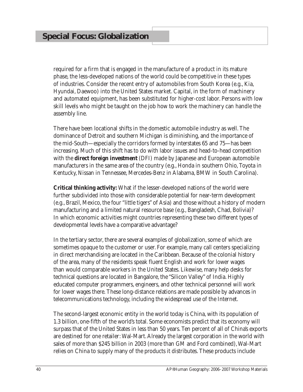required for a firm that is engaged in the manufacture of a product in its mature phase, the less-developed nations of the world could be competitive in these types of industries. Consider the recent entry of automobiles from South Korea (e.g., Kia, Hyundai, Daewoo) into the United States market. Capital, in the form of machinery and automated equipment, has been substituted for higher-cost labor. Persons with low skill levels who might be taught on the job how to work the machinery can handle the assembly line.

There have been locational shifts in the domestic automobile industry as well. The dominance of Detroit and southern Michigan is diminishing, and the importance of the mid-South—especially the corridors formed by interstates 65 and 75—has been increasing. Much of this shift has to do with labor issues and head-to-head competition with the **direct foreign investment** (DFI) made by Japanese and European automobile manufacturers in the same area of the country (e.g., Honda in southern Ohio, Toyota in Kentucky, Nissan in Tennessee, Mercedes-Benz in Alabama, BMW in South Carolina).

**Critical thinking activity:** What if the lesser-developed nations of the world were further subdivided into those with considerable potential for near-term development (e.g., Brazil, Mexico, the four "little tigers" of Asia) and those without a history of modern manufacturing and a limited natural resource base (e.g., Bangladesh, Chad, Bolivia)? In which economic activities might countries representing these two different types of developmental levels have a comparative advantage?

In the tertiary sector, there are several examples of globalization, some of which are sometimes opaque to the customer or user. For example, many call centers specializing in direct merchandising are located in the Caribbean. Because of the colonial history of the area, many of the residents speak fluent English and work for lower wages than would comparable workers in the United States. Likewise, many help desks for technical questions are located in Bangalore, the "Silicon Valley" of India. Highly educated computer programmers, engineers, and other technical personnel will work for lower wages there. These long-distance relations are made possible by advances in telecommunications technology, including the widespread use of the Internet.

The second-largest economic entity in the world today is China, with its population of 1.3 billion, one-fifth of the world's total. Some economists predict that its economy will surpass that of the United States in less than 50 years. Ten percent of all of China's exports are destined for one retailer: Wal-Mart. Already the largest corporation in the world with sales of more than \$245 billion in 2003 (more than GM and Ford combined), Wal-Mart relies on China to supply many of the products it distributes. These products include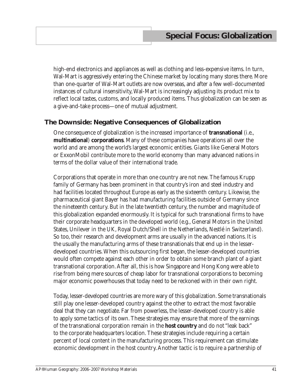high-end electronics and appliances as well as clothing and less-expensive items. In turn, Wal-Mart is aggressively entering the Chinese market by locating many stores there. More than one-quarter of Wal-Mart outlets are now overseas, and after a few well-documented instances of cultural insensitivity, Wal-Mart is increasingly adjusting its product mix to reflect local tastes, customs, and locally produced items. Thus globalization can be seen as a give-and-take process—one of mutual adjustment.

### **The Downside: Negative Consequences of Globalization**

One consequence of globalization is the increased importance of **transnational** (i.e., **multinational**) **corporations**. Many of these companies have operations all over the world and are among the world's largest economic entities. Giants like General Motors or ExxonMobil contribute more to the world economy than many advanced nations in terms of the dollar value of their international trade.

Corporations that operate in more than one country are not new. The famous Krupp family of Germany has been prominent in that country's iron and steel industry and had facilities located throughout Europe as early as the sixteenth century. Likewise, the pharmaceutical giant Bayer has had manufacturing facilities outside of Germany since the nineteenth century. But in the late twentieth century, the number and magnitude of this globalization expanded enormously. It is typical for such transnational firms to have their corporate headquarters in the developed world (e.g., General Motors in the United States, Unilever in the UK, Royal Dutch/Shell in the Netherlands, Nestlé in Switzerland). So too, their research and development arms are usually in the advanced nations. It is the usually the manufacturing arms of these transnationals that end up in the lesserdeveloped countries. When this outsourcing first began, the lesser-developed countries would often compete against each other in order to obtain some branch plant of a giant transnational corporation. After all, this is how Singapore and Hong Kong were able to rise from being mere sources of cheap labor for transnational corporations to becoming major economic powerhouses that today need to be reckoned with in their own right.

Today, lesser-developed countries are more wary of this globalization. Some transnationals still play one lesser-developed country against the other to extract the most favorable deal that they can negotiate. Far from powerless, the lesser-developed country is able to apply some tactics of its own. These strategies may ensure that more of the earnings of the transnational corporation remain in the **host country** and do not "leak back" to the corporate headquarters location. These strategies include requiring a certain percent of local content in the manufacturing process. This requirement can stimulate economic development in the host country. Another tactic is to require a partnership of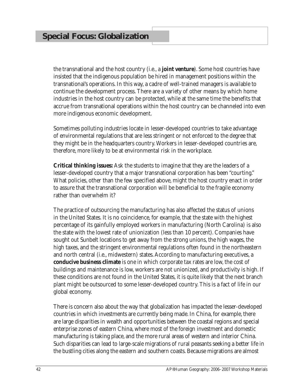the transnational and the host country (i.e., a **joint venture**). Some host countries have insisted that the indigenous population be hired in management positions within the transnational's operations. In this way, a cadre of well-trained managers is available to continue the development process. There are a variety of other means by which home industries in the host country can be protected, while at the same time the benefits that accrue from transnational operations within the host country can be channeled into even more indigenous economic development.

Sometimes polluting industries locate in lesser-developed countries to take advantage of environmental regulations that are less stringent or not enforced to the degree that they might be in the headquarters country. Workers in lesser-developed countries are, therefore, more likely to be at environmental risk in the workplace.

**Critical thinking issues:** Ask the students to imagine that they are the leaders of a lesser-developed country that a major transnational corporation has been "courting." What policies, other than the few specified above, might the host country enact in order to assure that the transnational corporation will be beneficial to the fragile economy rather than overwhelm it?

The practice of outsourcing the manufacturing has also affected the status of unions in the United States. It is no coincidence, for example, that the state with the highest percentage of its gainfully employed workers in manufacturing (North Carolina) is also the state with the lowest rate of unionization (less than 10 percent). Companies have sought out Sunbelt locations to get away from the strong unions, the high wages, the high taxes, and the stringent environmental regulations often found in the northeastern and north central (i.e., midwestern) states. According to manufacturing executives, a **conducive business climate** is one in which corporate tax rates are low, the cost of buildings and maintenance is low, workers are not unionized, and productivity is high. If these conditions are not found in the United States, it is quite likely that the next branch plant might be outsourced to some lesser-developed country. This is a fact of life in our global economy.

There is concern also about the way that globalization has impacted the lesser-developed countries in which investments are currently being made. In China, for example, there are large disparities in wealth and opportunities between the coastal regions and special enterprise zones of eastern China, where most of the foreign investment and domestic manufacturing is taking place, and the more rural areas of western and interior China. Such disparities can lead to large-scale migrations of rural peasants seeking a better life in the bustling cities along the eastern and southern coasts. Because migrations are almost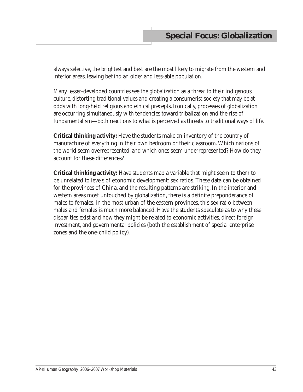always selective, the brightest and best are the most likely to migrate from the western and interior areas, leaving behind an older and less-able population.

Many lesser-developed countries see the globalization as a threat to their indigenous culture, distorting traditional values and creating a consumerist society that may be at odds with long-held religious and ethical precepts. Ironically, processes of globalization are occurring simultaneously with tendencies toward tribalization and the rise of fundamentalism—both reactions to what is perceived as threats to traditional ways of life.

**Critical thinking activity:** Have the students make an inventory of the country of manufacture of everything in their own bedroom or their classroom. Which nations of the world seem overrepresented, and which ones seem underrepresented? How do they account for these differences?

**Critical thinking activity:** Have students map a variable that might seem to them to be unrelated to levels of economic development: sex ratios. These data can be obtained for the provinces of China, and the resulting patterns are striking. In the interior and western areas most untouched by globalization, there is a definite preponderance of males to females. In the most urban of the eastern provinces, this sex ratio between males and females is much more balanced. Have the students speculate as to why these disparities exist and how they might be related to economic activities, direct foreign investment, and governmental policies (both the establishment of special enterprise zones and the one-child policy).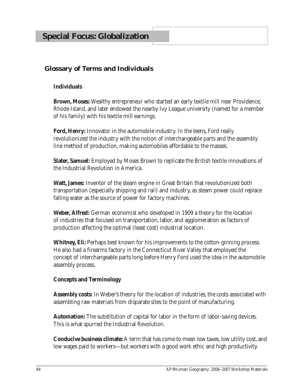## **Glossary of Terms and Individuals**

### **Individuals**

**Brown, Moses:** Wealthy entrepreneur who started an early textile mill near Providence, Rhode Island, and later endowed the nearby Ivy League university (named for a member of his family) with his textile mill earnings.

**Ford, Henry:** Innovator in the automobile industry. In the teens, Ford really revolutionized the industry with the notion of interchangeable parts and the assembly line method of production, making automobiles affordable to the masses.

**Slater, Samuel:** Employed by Moses Brown to replicate the British textile innovations of the Industrial Revolution in America.

**Watt, James:** Inventor of the steam engine in Great Britain that revolutionized both transportation (especially shipping and rail) and industry, as steam power could replace falling water as the source of power for factory machines.

**Weber, Alfred:** German economist who developed in 1909 a theory for the location of industries that focused on transportation, labor, and agglomeration as factors of production affecting the optimal (least cost) industrial location.

**Whitney, Eli:** Perhaps best known for his improvements to the cotton-ginning process. He also had a firearms factory in the Connecticut River Valley that employed the concept of interchangeable parts long before Henry Ford used the idea in the automobile assembly process.

#### **Concepts and Terminology**

**Assembly costs:** In Weber's theory for the location of industries, the costs associated with assembling raw materials from disparate sites to the point of manufacturing.

**Automation:** The substitution of capital for labor in the form of labor-saving devices. This is what spurred the Industrial Revolution.

**Conducive business climate:** A term that has come to mean low taxes, low utility cost, and low wages paid to workers—but workers with a good work ethic and high productivity.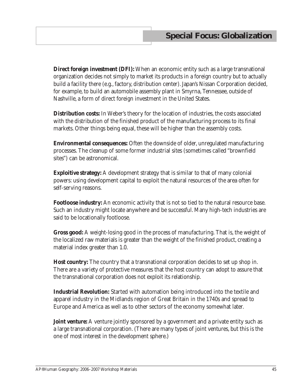**Direct foreign investment (DFI):** When an economic entity such as a large transnational organization decides not simply to market its products in a foreign country but to actually build a facility there (e.g., factory, distribution center). Japan's Nissan Corporation decided, for example, to build an automobile assembly plant in Smyrna, Tennessee, outside of Nashville, a form of direct foreign investment in the United States.

**Distribution costs:** In Weber's theory for the location of industries, the costs associated with the distribution of the finished product of the manufacturing process to its final markets. Other things being equal, these will be higher than the assembly costs.

**Environmental consequences:** Often the downside of older, unregulated manufacturing processes. The cleanup of some former industrial sites (sometimes called "brownfield sites") can be astronomical.

**Exploitive strategy:** A development strategy that is similar to that of many colonial powers: using development capital to exploit the natural resources of the area often for self-serving reasons.

**Footloose industry:** An economic activity that is not so tied to the natural resource base. Such an industry might locate anywhere and be successful. Many high-tech industries are said to be locationally footloose.

**Gross good:** A weight-losing good in the process of manufacturing. That is, the weight of the localized raw materials is greater than the weight of the finished product, creating a material index greater than 1.0.

**Host country:** The country that a transnational corporation decides to set up shop in. There are a variety of protective measures that the host country can adopt to assure that the transnational corporation does not exploit its relationship.

**Industrial Revolution:** Started with automation being introduced into the textile and apparel industry in the Midlands region of Great Britain in the 1740s and spread to Europe and America as well as to other sectors of the economy somewhat later.

**Joint venture:** A venture jointly sponsored by a government and a private entity such as a large transnational corporation. (There are many types of joint ventures, but this is the one of most interest in the development sphere.)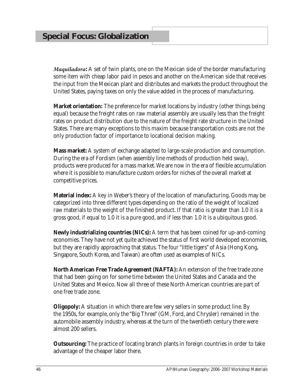*Maquiladora***:** A set of twin plants, one on the Mexican side of the border manufacturing some item with cheap labor paid in pesos and another on the American side that receives the input from the Mexican plant and distributes and markets the product throughout the United States, paying taxes on only the value added in the process of manufacturing.

**Market orientation:** The preference for market locations by industry (other things being equal) because the freight rates on raw material assembly are usually less than the freight rates on product distribution due to the nature of the freight rate structure in the United States. There are many exceptions to this maxim because transportation costs are not the only production factor of importance to locational decision making.

**Mass market:** A system of exchange adapted to large-scale production and consumption. During the era of Fordism (when assembly line methods of production held sway), products were produced for a mass market. We are now in the era of flexible accumulation where it is possible to manufacture custom orders for niches of the overall market at competitive prices.

**Material index:** A key in Weber's theory of the location of manufacturing. Goods may be categorized into three different types depending on the ratio of the weight of localized raw materials to the weight of the finished product. If that ratio is greater than 1.0 it is a gross good, if equal to 1.0 it is a pure good, and if less than 1.0 it is a ubiquitous good.

**Newly industrializing countries (NICs):** A term that has been coined for up-and-coming economies. They have not yet quite achieved the status of first world developed economies, but they are rapidly approaching that status. The four "little tigers" of Asia (Hong Kong, Singapore, South Korea, and Taiwan) are often used as examples of NICs.

**North American Free Trade Agreement (NAFTA):** An extension of the free trade zone that had been going on for some time between the United States and Canada and the United States and Mexico. Now all three of these North American countries are part of one free trade zone.

**Oligopoly:** A situation in which there are few very sellers in some product line. By the 1950s, for example, only the "Big Three" (GM, Ford, and Chrysler) remained in the automobile assembly industry, whereas at the turn of the twentieth century there were almost 200 sellers.

**Outsourcing:** The practice of locating branch plants in foreign countries in order to take advantage of the cheaper labor there.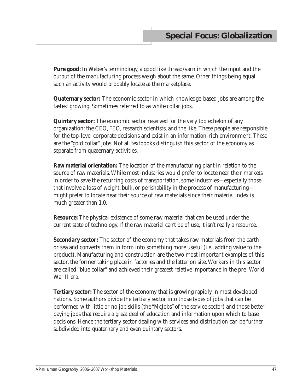**Pure good:** In Weber's terminology, a good like thread/yarn in which the input and the output of the manufacturing process weigh about the same. Other things being equal, such an activity would probably locate at the marketplace.

**Quaternary sector:** The economic sector in which knowledge-based jobs are among the fastest growing. Sometimes referred to as white collar jobs.

**Quintary sector:** The economic sector reserved for the very top echelon of any organization: the CEO, FEO, research scientists, and the like. These people are responsible for the top-level corporate decisions and exist in an information-rich environment. These are the "gold collar" jobs. Not all textbooks distinguish this sector of the economy as separate from quaternary activities.

**Raw material orientation:** The location of the manufacturing plant in relation to the source of raw materials. While most industries would prefer to locate near their markets in order to save the recurring costs of transportation, some industries—especially those that involve a loss of weight, bulk, or perishability in the process of manufacturing might prefer to locate near their source of raw materials since their material index is much greater than 1.0.

**Resource:** The physical existence of some raw material that can be used under the current state of technology. If the raw material can't be of use, it isn't really a resource.

**Secondary sector:** The sector of the economy that takes raw materials from the earth or sea and converts them in form into something more useful (i.e., adding value to the product). Manufacturing and construction are the two most important examples of this sector, the former taking place in factories and the latter on site. Workers in this sector are called "blue collar" and achieved their greatest relative importance in the pre–World War II era.

**Tertiary sector:** The sector of the economy that is growing rapidly in most developed nations. Some authors divide the tertiary sector into those types of jobs that can be performed with little or no job skills (the "McJobs" of the service sector) and those betterpaying jobs that require a great deal of education and information upon which to base decisions. Hence the tertiary sector dealing with services and distribution can be further subdivided into quaternary and even quintary sectors.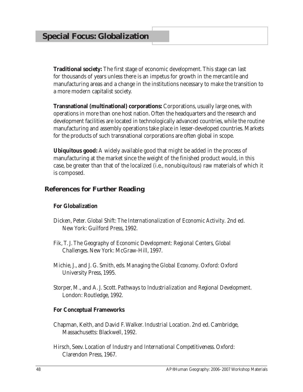**Traditional society:** The first stage of economic development. This stage can last for thousands of years unless there is an impetus for growth in the mercantile and manufacturing areas and a change in the institutions necessary to make the transition to a more modern capitalist society.

**Transnational (multinational) corporations:** Corporations, usually large ones, with operations in more than one host nation. Often the headquarters and the research and development facilities are located in technologically advanced countries, while the routine manufacturing and assembly operations take place in lesser-developed countries. Markets for the products of such transnational corporations are often global in scope.

**Ubiquitous good:** A widely available good that might be added in the process of manufacturing at the market since the weight of the finished product would, in this case, be greater than that of the localized (i.e., nonubiquitous) raw materials of which it is composed.

### **References for Further Reading**

#### **For Globalization**

- Dicken, Peter. *Global Shift: The Internationalization of Economic Activity*. 2nd ed. New York: Guilford Press, 1992.
- Fik, T. J. *The Geography of Economic Development: Regional Centers, Global Challenges*. New York: McGraw-Hill, 1997.
- Michie, J., and J. G. Smith, eds. *Managing the Global Economy*. Oxford: Oxford University Press, 1995.
- Storper, M., and A. J. Scott. *Pathways to Industrialization and Regional Development*. London: Routledge, 1992.

#### **For Conceptual Frameworks**

- Chapman, Keith, and David F. Walker. *Industrial Location*. 2nd ed. Cambridge, Massachusetts: Blackwell, 1992.
- Hirsch, Seev. *Location of Industry and International Competitiveness*. Oxford: Clarendon Press, 1967.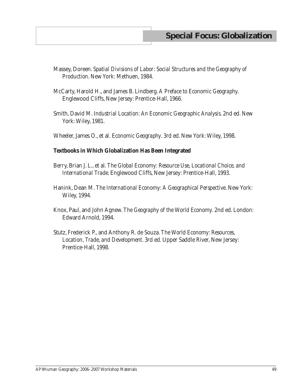- Massey, Doreen. *Spatial Divisions of Labor: Social Structures and the Geography of Production*. New York: Methuen, 1984.
- McCarty, Harold H., and James B. Lindberg. *A Preface to Economic Geography*. Englewood Cliffs, New Jersey: Prentice-Hall, 1966.
- Smith, David M. *Industrial Location: An Economic Geographic Analysis*. 2nd ed. New York: Wiley, 1981.
- Wheeler, James O., et al*. Economic Geography*. 3rd ed. New York: Wiley, 1998.

#### **Textbooks in Which Globalization Has Been Integrated**

- Berry, Brian J. L., et al. *The Global Economy: Resource Use, Locational Choice, and International Trade*. Englewood Cliffs, New Jersey: Prentice-Hall, 1993.
- Hanink, Dean M. *The International Economy: A Geographical Perspective*. New York: Wiley, 1994.
- Knox, Paul, and John Agnew. *The Geography of the World Economy*. 2nd ed. London: Edward Arnold, 1994.
- Stutz, Frederick P., and Anthony R. de Souza. *The World Economy: Resources, Location, Trade, and Development*. 3rd ed. Upper Saddle River, New Jersey: Prentice-Hall, 1998.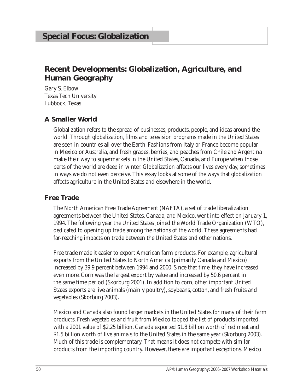## **Recent Developments: Globalization, Agriculture, and Human Geography**

Gary S. Elbow Texas Tech University Lubbock, Texas

## **A Smaller World**

Globalization refers to the spread of businesses, products, people, and ideas around the world. Through globalization, films and television programs made in the United States are seen in countries all over the Earth. Fashions from Italy or France become popular in Mexico or Australia, and fresh grapes, berries, and peaches from Chile and Argentina make their way to supermarkets in the United States, Canada, and Europe when those parts of the world are deep in winter. Globalization affects our lives every day, sometimes in ways we do not even perceive. This essay looks at some of the ways that globalization affects agriculture in the United States and elsewhere in the world.

## **Free Trade**

The North American Free Trade Agreement (NAFTA), a set of trade liberalization agreements between the United States, Canada, and Mexico, went into effect on January 1, 1994. The following year the United States joined the World Trade Organization (WTO), dedicated to opening up trade among the nations of the world. These agreements had far-reaching impacts on trade between the United States and other nations.

Free trade made it easier to export American farm products. For example, agricultural exports from the United States to North America (primarily Canada and Mexico) increased by 39.9 percent between 1994 and 2000. Since that time, they have increased even more. Corn was the largest export by value and increased by 50.6 percent in the same time period (Skorburg 2001). In addition to corn, other important United States exports are live animals (mainly poultry), soybeans, cotton, and fresh fruits and vegetables (Skorburg 2003).

Mexico and Canada also found larger markets in the United States for many of their farm products. Fresh vegetables and fruit from Mexico topped the list of products imported, with a 2001 value of \$2.25 billion. Canada exported \$1.8 billion worth of red meat and \$1.5 billion worth of live animals to the United States in the same year (Skorburg 2003). Much of this trade is complementary. That means it does not compete with similar products from the importing country. However, there are important exceptions. Mexico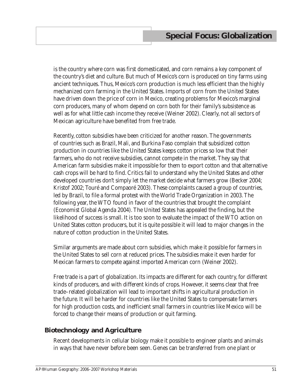is the country where corn was first domesticated, and corn remains a key component of the country's diet and culture. But much of Mexico's corn is produced on tiny farms using ancient techniques. Thus, Mexico's corn production is much less efficient than the highly mechanized corn farming in the United States. Imports of corn from the United States have driven down the price of corn in Mexico, creating problems for Mexico's marginal corn producers, many of whom depend on corn both for their family's subsistence as well as for what little cash income they receive (Weiner 2002). Clearly, not all sectors of Mexican agriculture have benefited from free trade.

Recently, cotton subsidies have been criticized for another reason. The governments of countries such as Brazil, Mali, and Burkina Faso complain that subsidized cotton production in countries like the United States keeps cotton prices so low that their farmers, who do not receive subsidies, cannot compete in the market. They say that American farm subsidies make it impossible for them to export cotton and that alternative cash crops will be hard to find. Critics fail to understand why the United States and other developed countries don't simply let the market decide what farmers grow (Becker 2004; Kristof 2002; Touré and Compaoré 2003). These complaints caused a group of countries, led by Brazil, to file a formal protest with the World Trade Organization in 2003. The following year, the WTO found in favor of the countries that brought the complaint (*Economist* Global Agenda 2004). The United States has appealed the finding, but the likelihood of success is small. It is too soon to evaluate the impact of the WTO action on United States cotton producers, but it is quite possible it will lead to major changes in the nature of cotton production in the United States.

Similar arguments are made about corn subsidies, which make it possible for farmers in the United States to sell corn at reduced prices. The subsidies make it even harder for Mexican farmers to compete against imported American corn (Weiner 2002).

Free trade is a part of globalization. Its impacts are different for each country, for different kinds of producers, and with different kinds of crops. However, it seems clear that free trade–related globalization will lead to important shifts in agricultural production in the future. It will be harder for countries like the United States to compensate farmers for high production costs, and inefficient small farmers in countries like Mexico will be forced to change their means of production or quit farming.

## **Biotechnology and Agriculture**

Recent developments in cellular biology make it possible to engineer plants and animals in ways that have never before been seen. Genes can be transferred from one plant or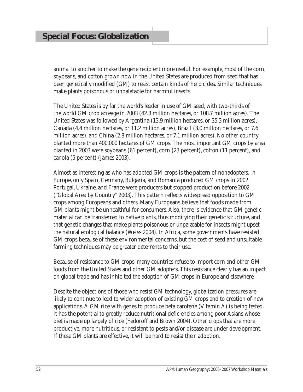animal to another to make the gene recipient more useful. For example, most of the corn, soybeans, and cotton grown now in the United States are produced from seed that has been genetically modified (GM) to resist certain kinds of herbicides. Similar techniques make plants poisonous or unpalatable for harmful insects.

The United States is by far the world's leader in use of GM seed, with two-thirds of the world GM crop acreage in 2003 (42.8 million hectares, or 108.7 million acres). The United States was followed by Argentina (13.9 million hectares, or 35.3 million acres), Canada (4.4 million hectares, or 11.2 million acres), Brazil (3.0 million hectares, or 7.6 million acres), and China (2.8 million hectares, or 7.1 million acres). No other country planted more than 400,000 hectares of GM crops. The most important GM crops by area planted in 2003 were soybeans (61 percent), corn (23 percent), cotton (11 percent), and canola (5 percent) (James 2003).

Almost as interesting as who has adopted GM crops is the pattern of nonadopters. In Europe, only Spain, Germany, Bulgaria, and Romania produced GM crops in 2002. Portugal, Ukraine, and France were producers but stopped production before 2002 ("Global Area by Country" 2003). This pattern reflects widespread opposition to GM crops among Europeans and others. Many Europeans believe that foods made from GM plants might be unhealthful for consumers. Also, there is evidence that GM genetic material can be transferred to native plants, thus modifying their genetic structure, and that genetic changes that make plants poisonous or unpalatable for insects might upset the natural ecological balance (Weiss 2004). In Africa, some governments have resisted GM crops because of these environmental concerns, but the cost of seed and unsuitable farming techniques may be greater deterrents to their use.

Because of resistance to GM crops, many countries refuse to import corn and other GM foods from the United States and other GM adopters. This resistance clearly has an impact on global trade and has inhibited the adoption of GM crops in Europe and elsewhere.

Despite the objections of those who resist GM technology, globalization pressures are likely to continue to lead to wider adoption of existing GM crops and to creation of new applications. A GM rice with genes to produce beta carotene (Vitamin A) is being tested. It has the potential to greatly reduce nutritional deficiencies among poor Asians whose diet is made up largely of rice (Fedoroff and Brown 2004). Other crops that are more productive, more nutritious, or resistant to pests and/or disease are under development. If these GM plants are effective, it will be hard to resist their adoption.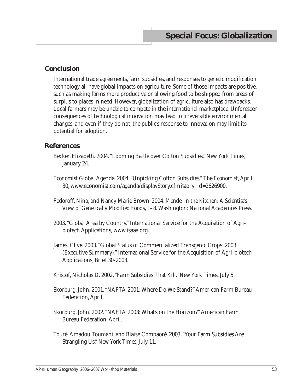### **Conclusion**

International trade agreements, farm subsidies, and responses to genetic modification technology all have global impacts on agriculture. Some of those impacts are positive, such as making farms more productive or allowing food to be shipped from areas of surplus to places in need. However, globalization of agriculture also has drawbacks. Local farmers may be unable to compete in the international marketplace. Unforeseen consequences of technological innovation may lead to irreversible environmental changes, and even if they do not, the public's response to innovation may limit its potential for adoption.

#### **References**

- Becker, Elizabeth. 2004. "Looming Battle over Cotton Subsidies." *New York Times*, January 24.
- *Economist* Global Agenda. 2004. "Unpicking Cotton Subsidies." *The Economist*, April 30, www.economist.com/agenda/displayStory.cfm?story\_id=2626900.
- Fedoroff, Nina, and Nancy Marie Brown. 2004. *Mendel in the Kitchen: A Scientist's View of Genetically Modified Foods*, 1–8. Washington: National Academies Press.
- 2003. "Global Area by Country." International Service for the Acquisition of Agribiotech Applications, www.isaaa.org.
- James, Clive. 2003. "Global Status of Commercialized Transgenic Crops: 2003 (Executive Summary)." International Service for the Acquisition of Agri-biotech Applications, Brief 30-2003.
- Kristof, Nicholas D. 2002. "Farm Subsidies That Kill." *New York Times*, July 5.
- Skorburg, John. 2001. "NAFTA 2001: Where Do We Stand?" American Farm Bureau Federation, April.
- Skorburg, John. 2002. "NAFTA 2003: What's on the Horizon?" American Farm Bureau Federation, April.
- Touré, Amadou Toumani, and Blaise Compaoré. 2003. "Your Farm Subsidies Are Strangling Us." *New York Times*, July 11.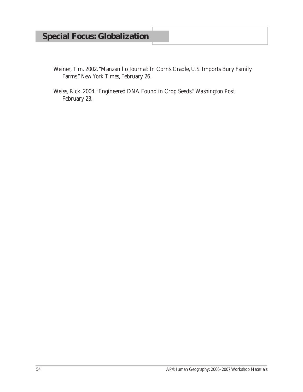# **Special Focus: Globalization**

- Weiner, Tim. 2002. "Manzanillo Journal: In Corn's Cradle, U.S. Imports Bury Family Farms." *New York Times*, February 26.
- Weiss, Rick. 2004. "Engineered DNA Found in Crop Seeds." *Washington Post*, February 23.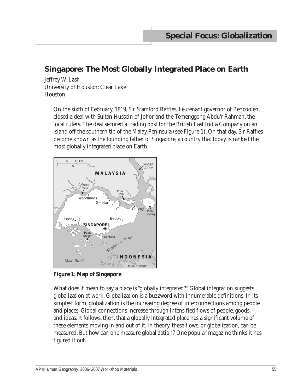## **Singapore: The Most Globally Integrated Place on Earth**

Jeffrey W. Lash University of Houston: Clear Lake Houston

> On the sixth of February, 1819, Sir Stamford Raffles, lieutenant governor of Bencoolen, closed a deal with Sultan Hussein of Johor and the Temenggong Abdu'r Rahman, the local rulers. The deal secured a trading post for the British East India Company on an island off the southern tip of the Malay Peninsula (see Figure 1). On that day, Sir Raffles become known as the founding father of Singapore, a country that today is ranked the most globally integrated place on Earth.



**Figure 1: Map of Singapore**

What does it mean to say a place is "globally integrated?" Global integration suggests globalization at work. Globalization is a buzzword with innumerable definitions. In its simplest form, globalization is the increasing degree of interconnections among people and places. Global connections increase through intensified flows of people, goods, and ideas. It follows, then, that a globally integrated place has a significant volume of these elements moving in and out of it. In theory, these flows, or globalization, can be measured. But how can one measure globalization? One popular magazine thinks it has figured it out.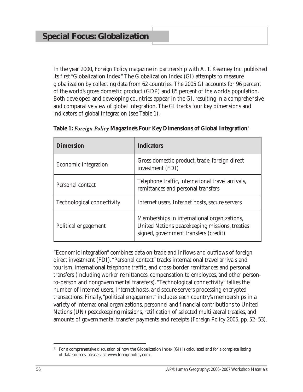In the year 2000, *Foreign Policy* magazine in partnership with A. T. Kearney Inc. published its first "Globalization Index." The Globalization Index (GI) attempts to measure globalization by collecting data from 62 countries. The 2005 GI accounts for 96 percent of the world's gross domestic product (GDP) and 85 percent of the world's population. Both developed and developing countries appear in the GI, resulting in a comprehensive and comparative view of global integration. The GI tracks four key dimensions and indicators of global integration (see Table 1).

| <b>Dimension</b>                  | <b>Indicators</b>                                                                                                                      |
|-----------------------------------|----------------------------------------------------------------------------------------------------------------------------------------|
| <b>Economic integration</b>       | Gross domestic product, trade, foreign direct<br>investment (FDI)                                                                      |
| Personal contact                  | Telephone traffic, international travel arrivals,<br>remittances and personal transfers                                                |
| <b>Technological connectivity</b> | Internet users, Internet hosts, secure servers                                                                                         |
| Political engagement              | Memberships in international organizations,<br>United Nations peacekeeping missions, treaties<br>signed, government transfers (credit) |

**Table 1:** *Foreign Policy* **Magazine's Four Key Dimensions of Global Integration**<sup>1</sup>

"Economic integration" combines data on trade and inflows and outflows of foreign direct investment (FDI). "Personal contact" tracks international travel arrivals and tourism, international telephone traffic, and cross-border remittances and personal transfers (including worker remittances, compensation to employees, and other personto-person and nongovernmental transfers). "Technological connectivity" tallies the number of Internet users, Internet hosts, and secure servers processing encrypted transactions. Finally, "political engagement" includes each country's memberships in a variety of international organizations, personnel and financial contributions to United Nations (UN) peacekeeping missions, ratification of selected multilateral treaties, and amounts of governmental transfer payments and receipts (*Foreign Policy* 2005, pp. 52–53).

 $1$  For a comprehensive discussion of how the Globalization Index (GI) is calculated and for a complete listing of data sources, please visit www.foreignpolicy.com.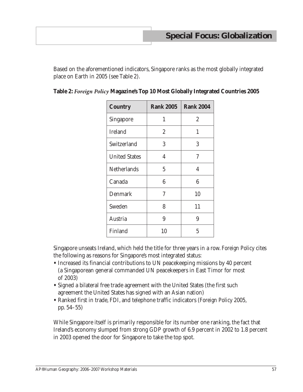Based on the aforementioned indicators, Singapore ranks as the most globally integrated place on Earth in 2005 (see Table 2).

| <b>Country</b>       | <b>Rank 2005</b> | <b>Rank 2004</b> |
|----------------------|------------------|------------------|
| <b>Singapore</b>     | 1                | $\overline{2}$   |
| <b>Ireland</b>       | $\overline{2}$   | 1                |
| Switzerland          | 3                | 3                |
| <b>United States</b> | 4                | 7                |
| <b>Netherlands</b>   | 5                | 4                |
| Canada               | 6                | 6                |
| <b>Denmark</b>       | 7                | 10               |
| Sweden               | 8                | 11               |
| Austria              | 9                | 9                |
| Finland              | 10               | 5                |

|  |  |  | Table 2: Foreign Policy Magazine's Top 10 Most Globally Integrated Countries 2005 |
|--|--|--|-----------------------------------------------------------------------------------|
|--|--|--|-----------------------------------------------------------------------------------|

Singapore unseats Ireland, which held the title for three years in a row. *Foreign Policy* cites the following as reasons for Singapore's most integrated status:

- **•** Increased its financial contributions to UN peacekeeping missions by 40 percent (a Singaporean general commanded UN peacekeepers in East Timor for most of 2003)
- **•** Signed a bilateral free trade agreement with the United States (the first such agreement the United States has signed with an Asian nation)
- **•** Ranked first in trade, FDI, and telephone traffic indicators (*Foreign Policy* 2005, pp. 54–55)

While Singapore itself is primarily responsible for its number one ranking, the fact that Ireland's economy slumped from strong GDP growth of 6.9 percent in 2002 to 1.8 percent in 2003 opened the door for Singapore to take the top spot.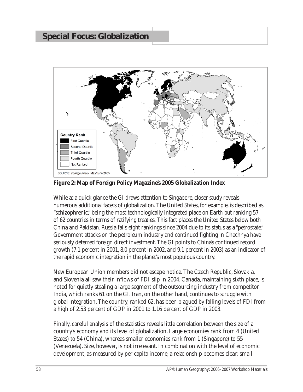

**Figure 2: Map of Foreign Policy Magazine's 2005 Globalization Index**

While at a quick glance the GI draws attention to Singapore, closer study reveals numerous additional facets of globalization. The United States, for example, is described as "schizophrenic," being the most technologically integrated place on Earth but ranking 57 of 62 countries in terms of ratifying treaties. This fact places the United States below both China and Pakistan. Russia falls eight rankings since 2004 due to its status as a "petrostate." Government attacks on the petroleum industry and continued fighting in Chechnya have seriously deterred foreign direct investment. The GI points to China's continued record growth (7.1 percent in 2001, 8.0 percent in 2002, and 9.1 percent in 2003) as an indicator of the rapid economic integration in the planet's most populous country.

New European Union members did not escape notice. The Czech Republic, Slovakia, and Slovenia all saw their inflows of FDI slip in 2004. Canada, maintaining sixth place, is noted for quietly stealing a large segment of the outsourcing industry from competitor India, which ranks 61 on the GI. Iran, on the other hand, continues to struggle with global integration. The country, ranked 62, has been plagued by falling levels of FDI from a high of 2.53 percent of GDP in 2001 to 1.16 percent of GDP in 2003.

Finally, careful analysis of the statistics reveals little correlation between the size of a country's economy and its level of globalization. Large economies rank from 4 (United States) to 54 (China), whereas smaller economies rank from 1 (Singapore) to 55 (Venezuela). Size, however, is not irrelevant. In combination with the level of economic development, as measured by per capita income, a relationship becomes clear: small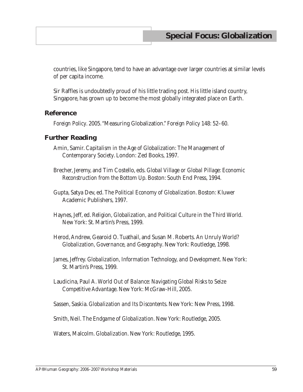countries, like Singapore, tend to have an advantage over larger countries at similar levels of per capita income.

Sir Raffles is undoubtedly proud of his little trading post. His little island country, Singapore, has grown up to become the most globally integrated place on Earth.

#### **Reference**

*Foreign Policy*. 2005. "Measuring Globalization." *Foreign Policy* 148: 52–60.

#### **Further Reading**

- Amin, Samir. *Capitalism in the Age of Globalization: The Management of Contemporary Society*. London: Zed Books, 1997.
- Brecher, Jeremy, and Tim Costello, eds. *Global Village or Global Pillage: Economic Reconstruction from the Bottom Up*. Boston: South End Press, 1994.
- Gupta, Satya Dev, ed. *The Political Economy of Globalization*. Boston: Kluwer Academic Publishers, 1997.
- Haynes, Jeff, ed. *Religion, Globalization, and Political Culture in the Third World*. New York: St. Martin's Press, 1999.
- Herod, Andrew, Gearoid O. Tuathail, and Susan M. Roberts. *An Unruly World? Globalization, Governance, and Geography*. New York: Routledge, 1998.
- James, Jeffrey. *Globalization, Information Technology, and Development*. New York: St. Martin's Press, 1999.
- Laudicina, Paul A. *World Out of Balance: Navigating Global Risks to Seize Competitive Advantage*. New York: McGraw-Hill, 2005.

Sassen, Saskia. *Globalization and Its Discontents*. New York: New Press, 1998.

Smith, Neil. *The Endgame of Globalization*. New York: Routledge, 2005.

Waters, Malcolm. *Globalization*. New York: Routledge, 1995.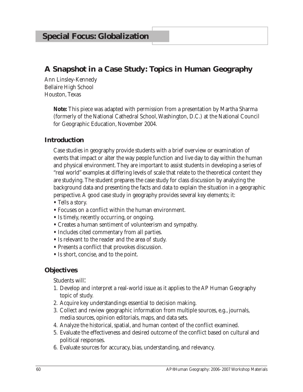## **A Snapshot in a Case Study: Topics in Human Geography**

Ann Linsley-Kennedy Bellaire High School Houston, Texas

> **Note:** This piece was adapted with permission from a presentation by Martha Sharma (formerly of the National Cathedral School, Washington, D.C.) at the National Council for Geographic Education, November 2004.

### **Introduction**

Case studies in geography provide students with a brief overview or examination of events that impact or alter the way people function and live day to day within the human and physical environment. They are important to assist students in developing a series of "real world" examples at differing levels of scale that relate to the theoretical content they are studying. The student prepares the case study for class discussion by analyzing the background data and presenting the facts and data to explain the situation in a geographic perspective. A good case study in geography provides several key elements; it:

- **•** Tells a story.
- **•** Focuses on a conflict within the human environment.
- **•** Is timely, recently occurring, or ongoing.
- **•** Creates a human sentiment of volunteerism and sympathy.
- **•** Includes cited commentary from all parties.
- **•** Is relevant to the reader and the area of study.
- **•** Presents a conflict that provokes discussion.
- **•** Is short, concise, and to the point.

### **Objectives**

Students will:

- 1. Develop and interpret a real-world issue as it applies to the AP Human Geography topic of study.
- 2. Acquire key understandings essential to decision making.
- 3. Collect and review geographic information from multiple sources, e.g., journals, media sources, opinion editorials, maps, and data sets.
- 4. Analyze the historical, spatial, and human context of the conflict examined.
- 5. Evaluate the effectiveness and desired outcome of the conflict based on cultural and political responses.
- 6. Evaluate sources for accuracy, bias, understanding, and relevancy.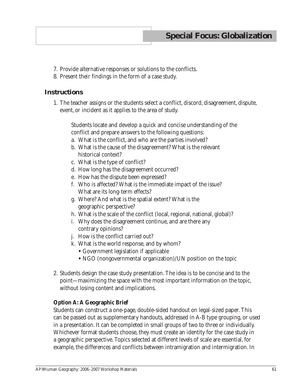- 7. Provide alternative responses or solutions to the conflicts.
- 8. Present their findings in the form of a case study.

#### **Instructions**

1. The teacher assigns or the students select a conflict, discord, disagreement, dispute, event, or incident as it applies to the area of study.

Students locate and develop a quick and concise understanding of the conflict and prepare answers to the following questions:

- a. What is the conflict, and who are the parties involved?
- b. What is the cause of the disagreement? What is the relevant historical context?
- c. What is the type of conflict?
- d. How long has the disagreement occurred?
- e. How has the dispute been expressed?
- f. Who is affected? What is the immediate impact of the issue? What are its long-term effects?
- g. Where? And what is the spatial extent? What is the geographic perspective?
- h. What is the scale of the conflict (local, regional, national, global)?
- i. Why does the disagreement continue, and are there any contrary opinions?
- j. How is the conflict carried out?
- k. What is the world response, and by whom?
	- **•** Government legislation if applicable
	- NGO (nongovernmental organization)/UN position on the topic
- 2. Students design the case study presentation. The idea is to be concise and to the point—maximizing the space with the most important information on the topic, without losing content and implications.

#### **Option A: A Geographic Brief**

Students can construct a one-page, double-sided handout on legal-sized paper. This can be passed out as supplementary handouts, addressed in A-B type grouping, or used in a presentation. It can be completed in small groups of two to three or individually. Whichever format students choose, they must create an identity for the case study in a geographic perspective. Topics selected at different levels of scale are essential, for example, the differences and conflicts between intramigration and intermigration. In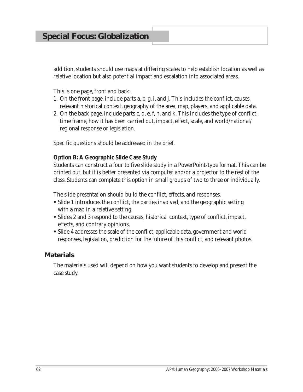## **Special Focus: Globalization**

addition, students should use maps at differing scales to help establish location as well as relative location but also potential impact and escalation into associated areas.

This is one page, front and back:

- 1. On the front page, include parts a, b, g, i, and j. This includes the conflict, causes, relevant historical context, geography of the area, map, players, and applicable data.
- 2. On the back page, include parts c, d, e, f, h, and k. This includes the type of conflict, time frame, how it has been carried out, impact, effect, scale, and world/national/ regional response or legislation.

Specific questions should be addressed in the brief.

#### **Option B: A Geographic Slide Case Study**

Students can construct a four to five slide study in a PowerPoint-type format. This can be printed out, but it is better presented via computer and/or a projector to the rest of the class. Students can complete this option in small groups of two to three or individually.

The slide presentation should build the conflict, effects, and responses.

- **•** Slide 1 introduces the conflict, the parties involved, and the geographic setting with a map in a relative setting.
- Slides 2 and 3 respond to the causes, historical context, type of conflict, impact, effects, and contrary opinions,
- Slide 4 addresses the scale of the conflict, applicable data, government and world responses, legislation, prediction for the future of this conflict, and relevant photos.

#### **Materials**

The materials used will depend on how you want students to develop and present the case study.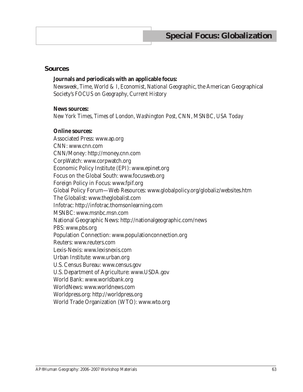#### **Sources**

#### **Journals and periodicals with an applicable focus:**

*Newsweek*, *Time*, *World & I*, *Economist*, *National Geographic*, the American Geographical Society's *FOCUS on Geography*, *Current History*

#### **News sources:**

*New York Times*, *Times of London*, *Washington Post*, CNN, MSNBC, *USA Today*

#### **Online sources:**

Associated Press: www.ap.org CNN: www.cnn.com CNN/Money: http://money.cnn.com CorpWatch: www.corpwatch.org Economic Policy Institute (EPI): www.epinet.org Focus on the Global South: www.focusweb.org Foreign Policy in Focus: www.fpif.org Global Policy Forum—Web Resources: www.globalpolicy.org/globaliz/websites.htm The Globalist: www.theglobalist.com Infotrac: http://infotrac.thomsonlearning.com MSNBC: www.msnbc.msn.com National Geographic News: http://nationalgeographic.com/news PBS: www.pbs.org Population Connection: www.populationconnection.org Reuters: www.reuters.com Lexis-Nexis: www.lexisnexis.com Urban Institute: www.urban.org U.S. Census Bureau: www.census.gov U.S. Department of Agriculture: www.USDA.gov World Bank: www.worldbank.org WorldNews: www.worldnews.com Worldpress.org: http://worldpress.org World Trade Organization (WTO): www.wto.org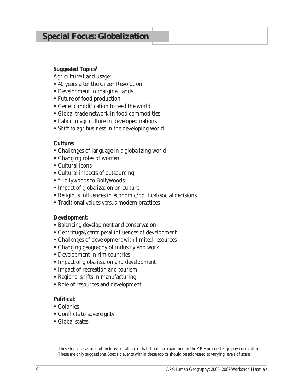## **Special Focus: Globalization**

#### **Suggested Topics1**

Agriculture/Land usage:

- **•** 40 years after the Green Revolution
- **•** Development in marginal lands
- **•** Future of food production
- **•** Genetic modification to feed the world
- **•** Global trade network in food commodities
- **•** Labor in agriculture in developed nations
- **•** Shift to agribusiness in the developing world

#### **Culture:**

- **•** Challenges of language in a globalizing world
- **•** Changing roles of women
- **•** Cultural icons
- **•** Cultural impacts of outsourcing
- **•** "Hollywoods to Bollywoods"
- **•** Impact of globalization on culture
- **•** Religious influences in economic/political/social decisions
- **•** Traditional values versus modern practices

#### **Development:**

- **•** Balancing development and conservation
- **•** Centrifugal/centripetal influences of development
- **•** Challenges of development with limited resources
- **•** Changing geography of industry and work
- **•** Development in rim countries
- **•** Impact of globalization and development
- **•** Impact of recreation and tourism
- **•** Regional shifts in manufacturing
- **•** Role of resources and development

#### **Political:**

- **•** Colonies
- **•** Conflicts to sovereignty
- **•** Global states

<sup>1</sup> These topic ideas are not inclusive of all areas that should be examined in the AP Human Geography curriculum. These are only suggestions. Specific events within these topics should be addressed at varying levels of scale.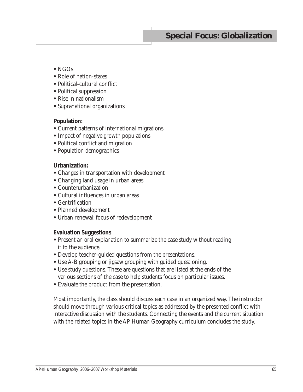# **Special Focus: Globalization**

- **•** NGOs
- **•** Role of nation-states
- **•** Political-cultural conflict
- **•** Political suppression
- **•** Rise in nationalism
- **•** Supranational organizations

#### **Population:**

- **•** Current patterns of international migrations
- **•** Impact of negative growth populations
- **•** Political conflict and migration
- **•** Population demographics

#### **Urbanization:**

- **•** Changes in transportation with development
- **•** Changing land usage in urban areas
- **•** Counterurbanization
- **•** Cultural influences in urban areas
- **•** Gentrification
- **•** Planned development
- **•** Urban renewal: focus of redevelopment

#### **Evaluation Suggestions**

- **•** Present an oral explanation to summarize the case study without reading it to the audience.
- **•** Develop teacher-guided questions from the presentations.
- **•** Use A-B grouping or jigsaw grouping with guided questioning.
- **•** Use study questions. These are questions that are listed at the ends of the various sections of the case to help students focus on particular issues.
- **•** Evaluate the product from the presentation.

Most importantly, the class should discuss each case in an organized way. The instructor should move through various critical topics as addressed by the presented conflict with interactive discussion with the students. Connecting the events and the current situation with the related topics in the AP Human Geography curriculum concludes the study.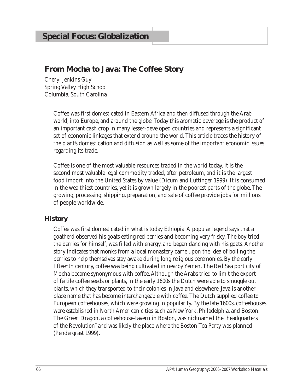## **From Mocha to Java: The Coffee Story**

Cheryl Jenkins Guy Spring Valley High School Columbia, South Carolina

> Coffee was first domesticated in Eastern Africa and then diffused through the Arab world, into Europe, and around the globe. Today this aromatic beverage is the product of an important cash crop in many lesser-developed countries and represents a significant set of economic linkages that extend around the world. This article traces the history of the plant's domestication and diffusion as well as some of the important economic issues regarding its trade.

> Coffee is one of the most valuable resources traded in the world today. It is the second most valuable legal commodity traded, after petroleum, and it is the largest food import into the United States by value (Dicum and Luttinger 1999). It is consumed in the wealthiest countries, yet it is grown largely in the poorest parts of the globe. The growing, processing, shipping, preparation, and sale of coffee provide jobs for millions of people worldwide.

## **History**

Coffee was first domesticated in what is today Ethiopia. A popular legend says that a goatherd observed his goats eating red berries and becoming very frisky. The boy tried the berries for himself, was filled with energy, and began dancing with his goats. Another story indicates that monks from a local monastery came upon the idea of boiling the berries to help themselves stay awake during long religious ceremonies. By the early fifteenth century, coffee was being cultivated in nearby Yemen. The Red Sea port city of Mocha became synonymous with coffee. Although the Arabs tried to limit the export of fertile coffee seeds or plants, in the early 1600s the Dutch were able to smuggle out plants, which they transported to their colonies in Java and elsewhere. Java is another place name that has become interchangeable with coffee. The Dutch supplied coffee to European coffeehouses, which were growing in popularity. By the late 1600s, coffeehouses were established in North American cities such as New York, Philadelphia, and Boston. The Green Dragon, a coffeehouse-tavern in Boston, was nicknamed the "headquarters of the Revolution" and was likely the place where the Boston Tea Party was planned (Pendergrast 1999).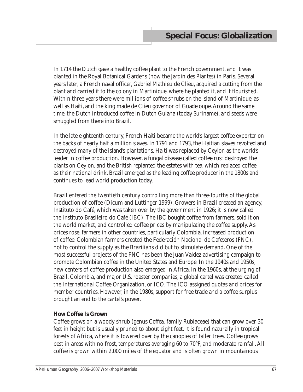In 1714 the Dutch gave a healthy coffee plant to the French government, and it was planted in the Royal Botanical Gardens (now the Jardin des Plantes) in Paris. Several years later, a French naval officer, Gabriel Mathieu de Clieu, acquired a cutting from the plant and carried it to the colony in Martinique, where he planted it, and it flourished. Within three years there were millions of coffee shrubs on the island of Martinique, as well as Haiti, and the king made de Clieu governor of Guadeloupe. Around the same time, the Dutch introduced coffee in Dutch Guiana (today Suriname), and seeds were smuggled from there into Brazil.

In the late eighteenth century, French Haiti became the world's largest coffee exporter on the backs of nearly half a million slaves. In 1791 and 1793, the Haitian slaves revolted and destroyed many of the island's plantations. Haiti was replaced by Ceylon as the world's leader in coffee production. However, a fungal disease called coffee rust destroyed the plants on Ceylon, and the British replanted the estates with tea, which replaced coffee as their national drink. Brazil emerged as the leading coffee producer in the 1800s and continues to lead world production today.

Brazil entered the twentieth century controlling more than three-fourths of the global production of coffee (Dicum and Luttinger 1999). Growers in Brazil created an agency, Instituto do Café, which was taken over by the government in 1926; it is now called the Instituto Brasileiro do Café (IBC). The IBC bought coffee from farmers, sold it on the world market, and controlled coffee prices by manipulating the coffee supply. As prices rose, farmers in other countries, particularly Colombia, increased production of coffee. Colombian farmers created the Federación Nacional de Cafeteros (FNC), not to control the supply as the Brazilians did but to stimulate demand. One of the most successful projects of the FNC has been the Juan Valdez advertising campaign to promote Colombian coffee in the United States and Europe. In the 1940s and 1950s, new centers of coffee production also emerged in Africa. In the 1960s, at the urging of Brazil, Colombia, and major U.S. roaster companies, a global cartel was created called the International Coffee Organization, or ICO. The ICO assigned quotas and prices for member countries. However, in the 1980s, support for free trade and a coffee surplus brought an end to the cartel's power.

#### **How Coffee Is Grown**

Coffee grows on a woody shrub (genus *Coffea*, family Rubiaceae) that can grow over 30 feet in height but is usually pruned to about eight feet. It is found naturally in tropical forests of Africa, where it is towered over by the canopies of taller trees. Coffee grows best in areas with no frost, temperatures averaging 60 to 70°F, and moderate rainfall. All coffee is grown within 2,000 miles of the equator and is often grown in mountainous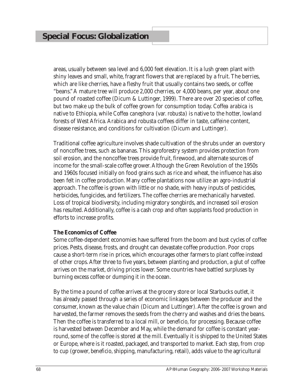areas, usually between sea level and 6,000 feet elevation. It is a lush green plant with shiny leaves and small, white, fragrant flowers that are replaced by a fruit. The berries, which are like cherries, have a fleshy fruit that usually contains two seeds, or coffee "beans." A mature tree will produce 2,000 cherries, or 4,000 beans, per year, about one pound of roasted coffee (Dicum & Luttinger, 1999). There are over 20 species of coffee, but two make up the bulk of coffee grown for consumption today. *Coffea arabica* is native to Ethiopia, while *Coffea canephora* (var. *robusta*) is native to the hotter, lowland forests of West Africa. Arabica and robusta coffees differ in taste, caffeine content, disease resistance, and conditions for cultivation (Dicum and Luttinger).

Traditional coffee agriculture involves shade cultivation of the shrubs under an overstory of noncoffee trees, such as bananas. This agroforestry system provides protection from soil erosion, and the noncoffee trees provide fruit, firewood, and alternate sources of income for the small-scale coffee grower. Although the Green Revolution of the 1950s and 1960s focused initially on food grains such as rice and wheat, the influence has also been felt in coffee production. Many coffee plantations now utilize an agro-industrial approach. The coffee is grown with little or no shade, with heavy inputs of pesticides, herbicides, fungicides, and fertilizers. The coffee cherries are mechanically harvested. Loss of tropical biodiversity, including migratory songbirds, and increased soil erosion has resulted. Additionally, coffee is a cash crop and often supplants food production in efforts to increase profits.

#### **The Economics of Coffee**

Some coffee-dependent economies have suffered from the boom and bust cycles of coffee prices. Pests, disease, frosts, and drought can devastate coffee production. Poor crops cause a short-term rise in prices, which encourages other farmers to plant coffee instead of other crops. After three to five years, between planting and production, a glut of coffee arrives on the market, driving prices lower. Some countries have battled surpluses by burning excess coffee or dumping it in the ocean.

By the time a pound of coffee arrives at the grocery store or local Starbucks outlet, it has already passed through a series of economic linkages between the producer and the consumer, known as the value chain (Dicum and Luttinger). After the coffee is grown and harvested, the farmer removes the seeds from the cherry and washes and dries the beans. Then the coffee is transferred to a local mill, or *beneficio*, for processing. Because coffee is harvested between December and May, while the demand for coffee is constant yearround, some of the coffee is stored at the mill. Eventually it is shipped to the United States or Europe, where is it roasted, packaged, and transported to market. Each step, from crop to cup (grower, *beneficio*, shipping, manufacturing, retail), adds value to the agricultural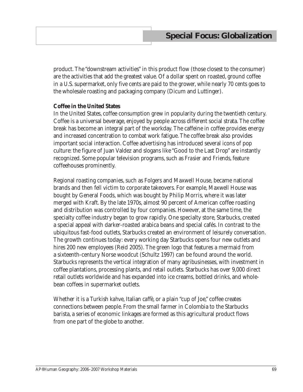product. The "downstream activities" in this product flow (those closest to the consumer) are the activities that add the greatest value. Of a dollar spent on roasted, ground coffee in a U.S. supermarket, only five cents are paid to the grower, while nearly 70 cents goes to the wholesale roasting and packaging company (Dicum and Luttinger).

#### **Coffee in the United States**

In the United States, coffee consumption grew in popularity during the twentieth century. Coffee is a universal beverage, enjoyed by people across different social strata. The coffee break has become an integral part of the workday. The caffeine in coffee provides energy and increased concentration to combat work fatigue. The coffee break also provides important social interaction. Coffee advertising has introduced several icons of pop culture: the figure of Juan Valdez and slogans like "Good to the Last Drop" are instantly recognized. Some popular television programs, such as *Frasier* and *Friends*, feature coffeehouses prominently.

Regional roasting companies, such as Folgers and Maxwell House, became national brands and then fell victim to corporate takeovers. For example, Maxwell House was bought by General Foods, which was bought by Philip Morris, where it was later merged with Kraft. By the late 1970s, almost 90 percent of American coffee roasting and distribution was controlled by four companies. However, at the same time, the specialty coffee industry began to grow rapidly. One specialty store, Starbucks, created a special appeal with darker-roasted arabica beans and special cafés. In contrast to the ubiquitous fast-food outlets, Starbucks created an environment of leisurely conversation. The growth continues today: every working day Starbucks opens four new outlets and hires 200 new employees (Reid 2005). The green logo that features a mermaid from a sixteenth-century Norse woodcut (Schultz 1997) can be found around the world. Starbucks represents the vertical integration of many agribusinesses, with investment in coffee plantations, processing plants, and retail outlets. Starbucks has over 9,000 direct retail outlets worldwide and has expanded into ice creams, bottled drinks, and wholebean coffees in supermarket outlets.

Whether it is a Turkish *kahve*, Italian *caffè*, or a plain "cup of Joe," coffee creates connections between people. From the small farmer in Colombia to the Starbucks barista, a series of economic linkages are formed as this agricultural product flows from one part of the globe to another.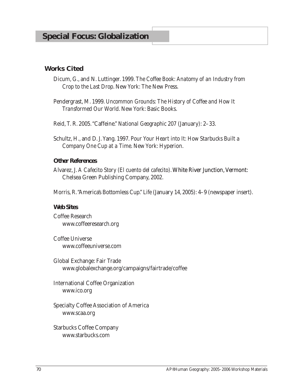#### **Works Cited**

- Dicum, G., and N. Luttinger. 1999. *The Coffee Book: Anatomy of an Industry from Crop to the Last Drop*. New York: The New Press.
- Pendergrast, M. 1999. *Uncommon Grounds: The History of Coffee and How It Transformed Our World*. New York: Basic Books.
- Reid, T. R. 2005. "Caffeine." *National Geographic* 207 (January): 2–33.
- Schultz, H., and D. J. Yang. 1997. *Pour Your Heart into It: How Starbucks Built a Company One Cup at a Time*. New York: Hyperion.

#### **Other References**

Alvarez, J. *A Cafecito Story (El cuento del cafecito)*. White River Junction, �ermont: Chelsea Green Publishing Company, 2002.

Morris, R. "America's Bottomless Cup." *Life* (January 14, 2005): 4–9 (newspaper insert).

#### **Web Sites**

Coffee Research www.coffeeresearch.org

Coffee Universe www.coffeeuniverse.com

Global Exchange: Fair Trade www.globalexchange.org/campaigns/fairtrade/coffee

International Coffee Organization www.ico.org

Specialty Coffee Association of America www.scaa.org

Starbucks Coffee Company www.starbucks.com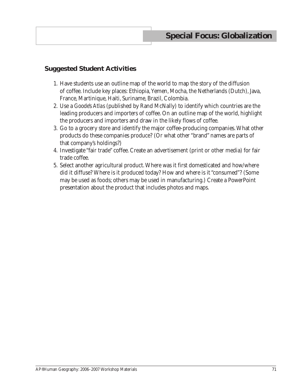# **Suggested Student Activities**

- 1. Have students use an outline map of the world to map the story of the diffusion of coffee. Include key places: Ethiopia, Yemen, Mocha, the Netherlands (Dutch), Java, France, Martinique, Haiti, Suriname, Brazil, Colombia.
- 2. Use a *Goode's Atlas* (published by Rand McNally) to identify which countries are the leading producers and importers of coffee. On an outline map of the world, highlight the producers and importers and draw in the likely flows of coffee.
- 3. Go to a grocery store and identify the major coffee-producing companies. What other products do these companies produce? (Or what other "brand" names are parts of that company's holdings?)
- 4. Investigate "fair trade" coffee. Create an advertisement (print or other media) for fair trade coffee.
- 5. Select another agricultural product. Where was it first domesticated and how/where did it diffuse? Where is it produced today? How and where is it "consumed"? (Some may be used as foods; others may be used in manufacturing.) Create a PowerPoint presentation about the product that includes photos and maps.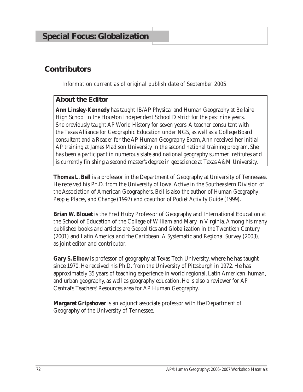# **Contributors**

*Information current as of original publish date of September 2005.*

# **About the Editor**

**Ann Linsley-Kennedy** has taught IB/AP Physical and Human Geography at Bellaire High School in the Houston Independent School District for the past nine years. She previously taught AP World History for seven years. A teacher consultant with the Texas Alliance for Geographic Education under NGS, as well as a College Board consultant and a Reader for the AP Human Geography Exam, Ann received her initial AP training at James Madison University in the second national training program. She has been a participant in numerous state and national geography summer institutes and is currently finishing a second master's degree in geoscience at Texas A&M University.

**Thomas L. Bell** is a professor in the Department of Geography at University of Tennessee. He received his Ph.D. from the University of Iowa. Active in the Southeastern Division of the Association of American Geographers, Bell is also the author of *Human Geography: People, Places, and Change* (1997) and coauthor of *Pocket Activity Guide* (1999).

**Brian W. Blouet** is the Fred Huby Professor of Geography and International Education at the School of Education of the College of William and Mary in Virginia. Among his many published books and articles are *Geopolitics and Globalization in the Twentieth Century* (2001) and *Latin America and the Caribbean: A Systematic and Regional Survey* (2003), as joint editor and contributor.

**Gary S. Elbow** is professor of geography at Texas Tech University, where he has taught since 1970. He received his Ph.D. from the University of Pittsburgh in 1972. He has approximately 35 years of teaching experience in world regional, Latin American, human, and urban geography, as well as geography education. He is also a reviewer for AP Central's Teachers' Resources area for AP Human Geography.

**Margaret Gripshover** is an adjunct associate professor with the Department of Geography of the University of Tennessee.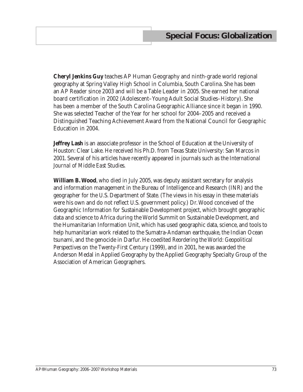**Cheryl Jenkins Guy** teaches AP Human Geography and ninth-grade world regional geography at Spring Valley High School in Columbia, South Carolina. She has been an AP Reader since 2003 and will be a Table Leader in 2005. She earned her national board certification in 2002 (Adolescent–Young Adult Social Studies–History). She has been a member of the South Carolina Geographic Alliance since it began in 1990. She was selected Teacher of the Year for her school for 2004–2005 and received a Distinguished Teaching Achievement Award from the National Council for Geographic Education in 2004.

**Jeffrey Lash** is an associate professor in the School of Education at the University of Houston: Clear Lake. He received his Ph.D. from Texas State University: San Marcos in 2001. Several of his articles have recently appeared in journals such as the *International Journal of Middle East Studies*.

**William B. Wood**, who died in July 2005, was deputy assistant secretary for analysis and information management in the Bureau of Intelligence and Research (INR) and the geographer for the U.S. Department of State. (The views in his essay in these materials were his own and do not reflect U.S. government policy.) Dr. Wood conceived of the Geographic Information for Sustainable Development project, which brought geographic data and science to Africa during the World Summit on Sustainable Development, and the Humanitarian Information Unit, which has used geographic data, science, and tools to help humanitarian work related to the Sumatra-Andaman earthquake, the Indian Ocean tsunami, and the genocide in Darfur. He coedited *Reordering the World: Geopolitical Perspectives on the Twenty-First Century* (1999), and in 2001, he was awarded the Anderson Medal in Applied Geography by the Applied Geography Specialty Group of the Association of American Geographers.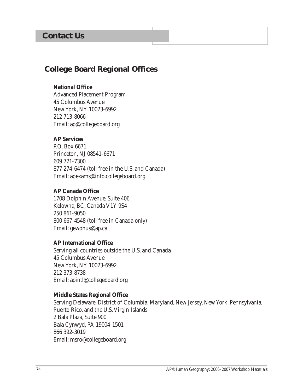# **Contact Us**

# **College Board Regional Offices**

#### **National Office**

Advanced Placement Program 45 Columbus Avenue New York, NY 10023-6992 212 713-8066 Email: ap@collegeboard.org

## **AP Services**

P.O. Box 6671 Princeton, NJ 08541-6671 609 771-7300 877 274-6474 (toll free in the U.S. and Canada) Email: apexams@info.collegeboard.org

#### **AP Canada Office**

1708 Dolphin Avenue, Suite 406 Kelowna, BC, Canada V1Y 9S4 250 861-9050 800 667-4548 (toll free in Canada only) Email: gewonus@ap.ca

#### **AP International Office**

Serving all countries outside the U.S. and Canada 45 Columbus Avenue New York, NY 10023-6992 212 373-8738 Email: apintl@collegeboard.org

#### **Middle States Regional Office**

Serving Delaware, District of Columbia, Maryland, New Jersey, New York, Pennsylvania, Puerto Rico, and the U.S. Virgin Islands 2 Bala Plaza, Suite 900 Bala Cynwyd, PA 19004-1501 866 392-3019 Email: msro@collegeboard.org